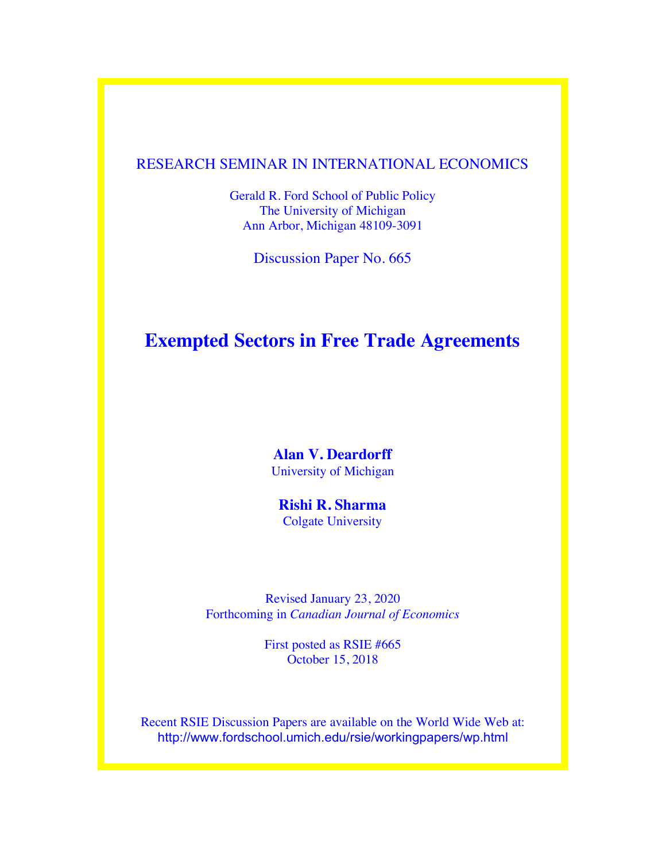## RESEARCH SEMINAR IN INTERNATIONAL ECONOMICS

Gerald R. Ford School of Public Policy The University of Michigan Ann Arbor, Michigan 48109-3091

Discussion Paper No. 665

# **Exempted Sectors in Free Trade Agreements**

**Alan V. Deardorff** University of Michigan

**Rishi R. Sharma** Colgate University

Revised January 23, 2020 Forthcoming in *Canadian Journal of Economics*

> First posted as RSIE #665 October 15, 2018

Recent RSIE Discussion Papers are available on the World Wide Web at: http://www.fordschool.umich.edu/rsie/workingpapers/wp.html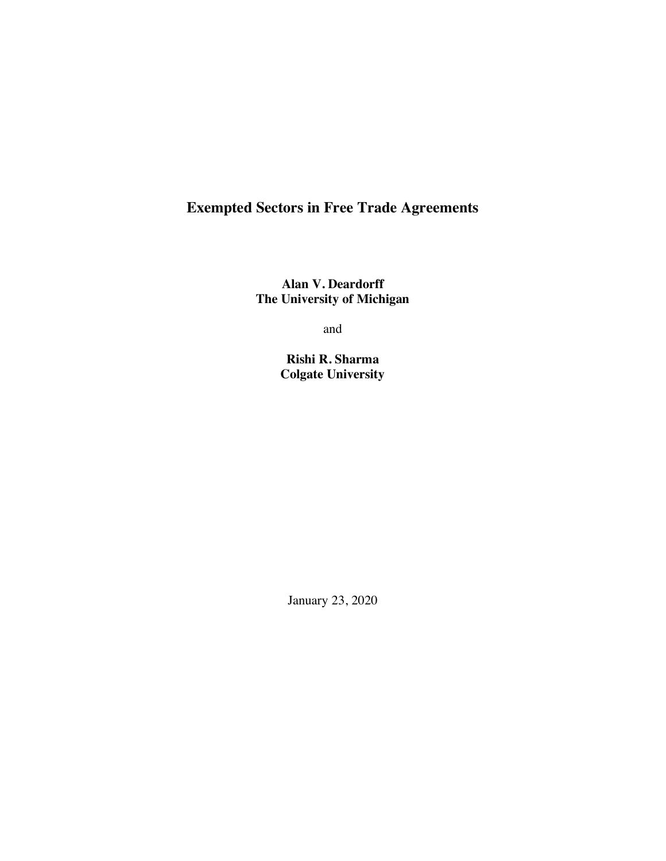# **Exempted Sectors in Free Trade Agreements**

**Alan V. Deardorff The University of Michigan**

and

**Rishi R. Sharma Colgate University** 

January 23, 2020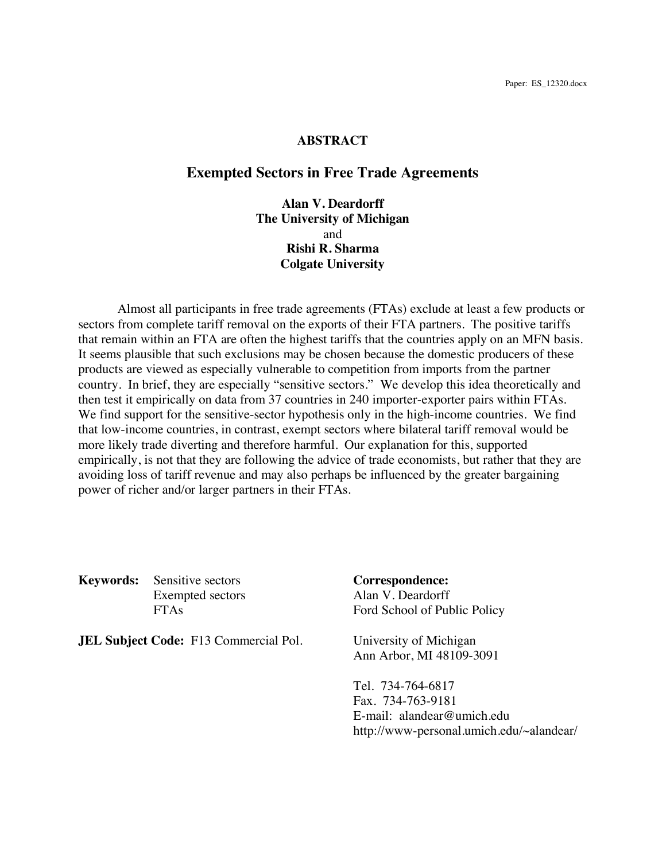#### **ABSTRACT**

#### **Exempted Sectors in Free Trade Agreements**

**Alan V. Deardorff The University of Michigan** and **Rishi R. Sharma Colgate University** 

Almost all participants in free trade agreements (FTAs) exclude at least a few products or sectors from complete tariff removal on the exports of their FTA partners. The positive tariffs that remain within an FTA are often the highest tariffs that the countries apply on an MFN basis. It seems plausible that such exclusions may be chosen because the domestic producers of these products are viewed as especially vulnerable to competition from imports from the partner country. In brief, they are especially "sensitive sectors." We develop this idea theoretically and then test it empirically on data from 37 countries in 240 importer-exporter pairs within FTAs. We find support for the sensitive-sector hypothesis only in the high-income countries. We find that low-income countries, in contrast, exempt sectors where bilateral tariff removal would be more likely trade diverting and therefore harmful. Our explanation for this, supported empirically, is not that they are following the advice of trade economists, but rather that they are avoiding loss of tariff revenue and may also perhaps be influenced by the greater bargaining power of richer and/or larger partners in their FTAs.

**Keywords:** Sensitive sectors **Correspondence:**

**JEL Subject Code:** F13 Commercial Pol. University of Michigan

Exempted sectors Alan V. Deardorff FTAs Ford School of Public Policy

Ann Arbor, MI 48109-3091

Tel. 734-764-6817 Fax. 734-763-9181 E-mail: alandear@umich.edu http://www-personal.umich.edu/~alandear/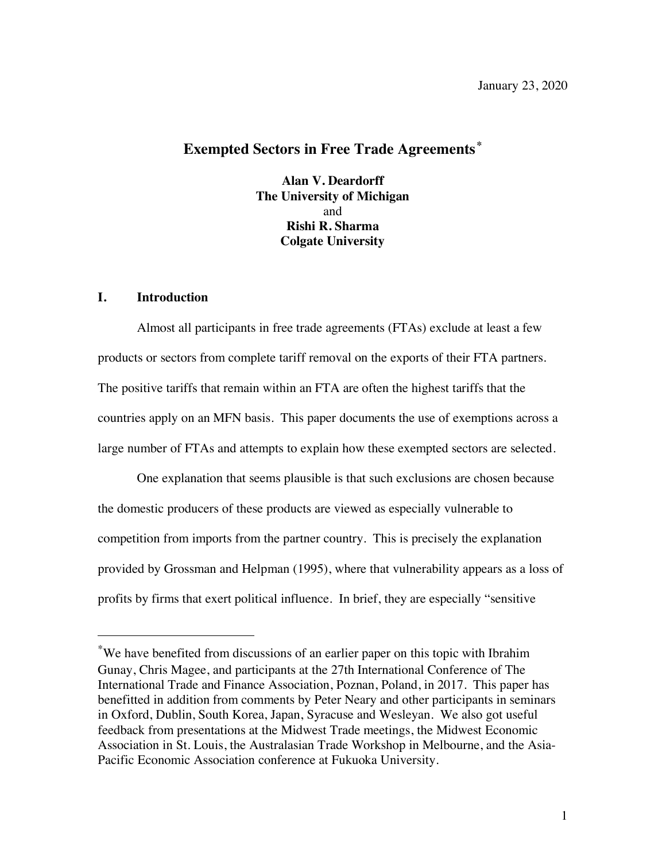## **Exempted Sectors in Free Trade Agreements \***

**Alan V. Deardorff The University of Michigan** and **Rishi R. Sharma Colgate University** 

#### **I. Introduction**

 $\overline{a}$ 

Almost all participants in free trade agreements (FTAs) exclude at least a few products or sectors from complete tariff removal on the exports of their FTA partners. The positive tariffs that remain within an FTA are often the highest tariffs that the countries apply on an MFN basis. This paper documents the use of exemptions across a large number of FTAs and attempts to explain how these exempted sectors are selected.

One explanation that seems plausible is that such exclusions are chosen because the domestic producers of these products are viewed as especially vulnerable to competition from imports from the partner country. This is precisely the explanation provided by Grossman and Helpman (1995), where that vulnerability appears as a loss of profits by firms that exert political influence. In brief, they are especially "sensitive

<sup>\*</sup> We have benefited from discussions of an earlier paper on this topic with Ibrahim Gunay, Chris Magee, and participants at the 27th International Conference of The International Trade and Finance Association, Poznan, Poland, in 2017. This paper has benefitted in addition from comments by Peter Neary and other participants in seminars in Oxford, Dublin, South Korea, Japan, Syracuse and Wesleyan. We also got useful feedback from presentations at the Midwest Trade meetings, the Midwest Economic Association in St. Louis, the Australasian Trade Workshop in Melbourne, and the Asia-Pacific Economic Association conference at Fukuoka University.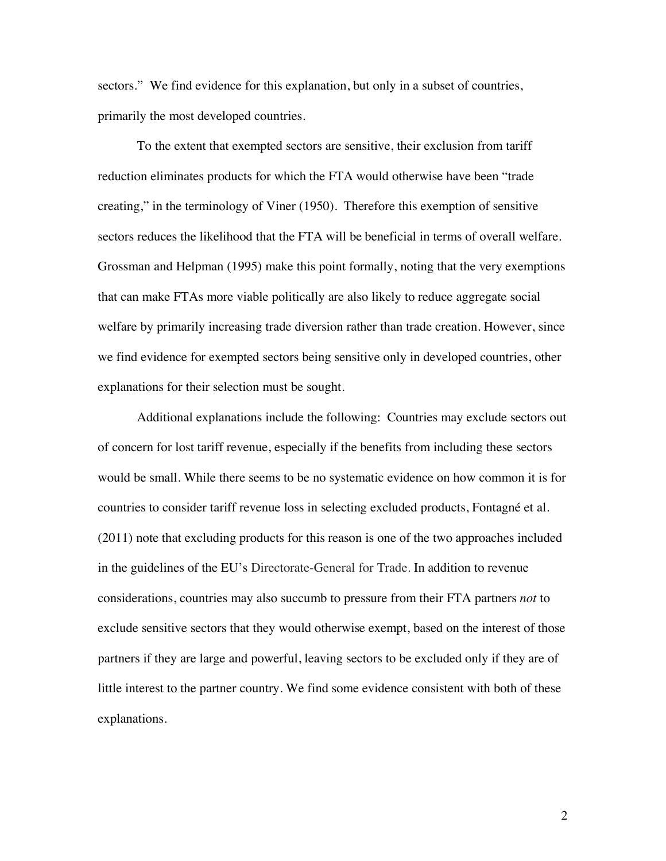sectors." We find evidence for this explanation, but only in a subset of countries, primarily the most developed countries.

To the extent that exempted sectors are sensitive, their exclusion from tariff reduction eliminates products for which the FTA would otherwise have been "trade creating," in the terminology of Viner (1950). Therefore this exemption of sensitive sectors reduces the likelihood that the FTA will be beneficial in terms of overall welfare. Grossman and Helpman (1995) make this point formally, noting that the very exemptions that can make FTAs more viable politically are also likely to reduce aggregate social welfare by primarily increasing trade diversion rather than trade creation. However, since we find evidence for exempted sectors being sensitive only in developed countries, other explanations for their selection must be sought.

Additional explanations include the following: Countries may exclude sectors out of concern for lost tariff revenue, especially if the benefits from including these sectors would be small. While there seems to be no systematic evidence on how common it is for countries to consider tariff revenue loss in selecting excluded products, Fontagné et al. (2011) note that excluding products for this reason is one of the two approaches included in the guidelines of the EU's Directorate-General for Trade. In addition to revenue considerations, countries may also succumb to pressure from their FTA partners *not* to exclude sensitive sectors that they would otherwise exempt, based on the interest of those partners if they are large and powerful, leaving sectors to be excluded only if they are of little interest to the partner country. We find some evidence consistent with both of these explanations.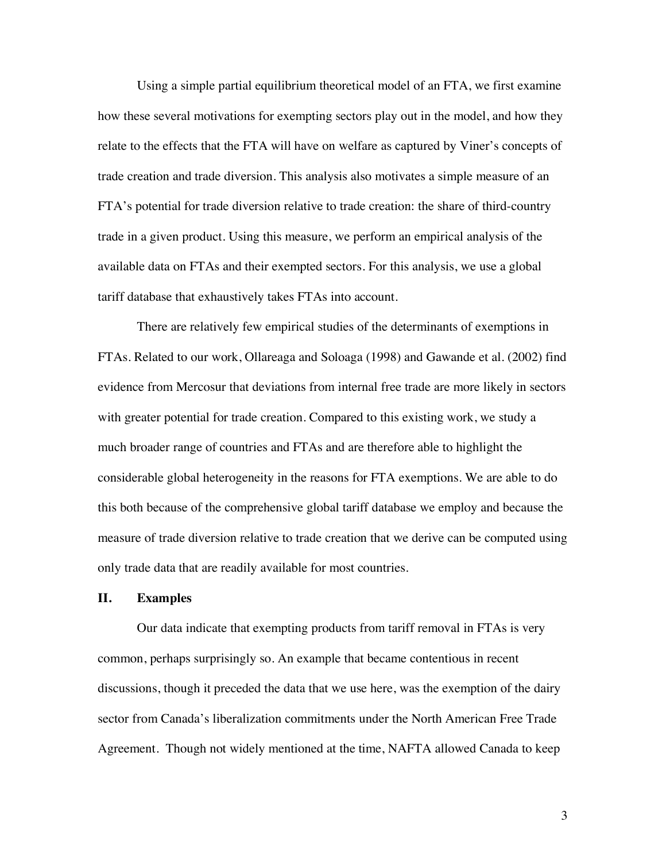Using a simple partial equilibrium theoretical model of an FTA, we first examine how these several motivations for exempting sectors play out in the model, and how they relate to the effects that the FTA will have on welfare as captured by Viner's concepts of trade creation and trade diversion. This analysis also motivates a simple measure of an FTA's potential for trade diversion relative to trade creation: the share of third-country trade in a given product. Using this measure, we perform an empirical analysis of the available data on FTAs and their exempted sectors. For this analysis, we use a global tariff database that exhaustively takes FTAs into account.

There are relatively few empirical studies of the determinants of exemptions in FTAs. Related to our work, Ollareaga and Soloaga (1998) and Gawande et al. (2002) find evidence from Mercosur that deviations from internal free trade are more likely in sectors with greater potential for trade creation. Compared to this existing work, we study a much broader range of countries and FTAs and are therefore able to highlight the considerable global heterogeneity in the reasons for FTA exemptions. We are able to do this both because of the comprehensive global tariff database we employ and because the measure of trade diversion relative to trade creation that we derive can be computed using only trade data that are readily available for most countries.

#### **II. Examples**

Our data indicate that exempting products from tariff removal in FTAs is very common, perhaps surprisingly so. An example that became contentious in recent discussions, though it preceded the data that we use here, was the exemption of the dairy sector from Canada's liberalization commitments under the North American Free Trade Agreement. Though not widely mentioned at the time, NAFTA allowed Canada to keep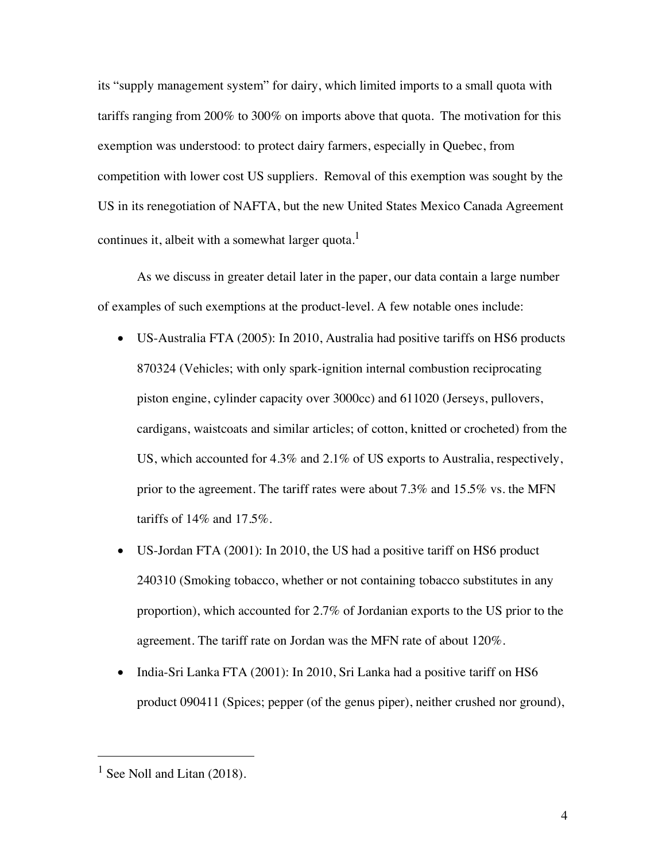its "supply management system" for dairy, which limited imports to a small quota with tariffs ranging from 200% to 300% on imports above that quota. The motivation for this exemption was understood: to protect dairy farmers, especially in Quebec, from competition with lower cost US suppliers. Removal of this exemption was sought by the US in its renegotiation of NAFTA, but the new United States Mexico Canada Agreement continues it, albeit with a somewhat larger quota.<sup>1</sup>

As we discuss in greater detail later in the paper, our data contain a large number of examples of such exemptions at the product-level. A few notable ones include:

- US-Australia FTA (2005): In 2010, Australia had positive tariffs on HS6 products 870324 (Vehicles; with only spark-ignition internal combustion reciprocating piston engine, cylinder capacity over 3000cc) and 611020 (Jerseys, pullovers, cardigans, waistcoats and similar articles; of cotton, knitted or crocheted) from the US, which accounted for 4.3% and 2.1% of US exports to Australia, respectively, prior to the agreement. The tariff rates were about 7.3% and 15.5% vs. the MFN tariffs of 14% and 17.5%.
- US-Jordan FTA (2001): In 2010, the US had a positive tariff on HS6 product 240310 (Smoking tobacco, whether or not containing tobacco substitutes in any proportion), which accounted for 2.7% of Jordanian exports to the US prior to the agreement. The tariff rate on Jordan was the MFN rate of about 120%.
- India-Sri Lanka FTA (2001): In 2010, Sri Lanka had a positive tariff on HS6 product 090411 (Spices; pepper (of the genus piper), neither crushed nor ground),

 $<sup>1</sup>$  See Noll and Litan (2018).</sup>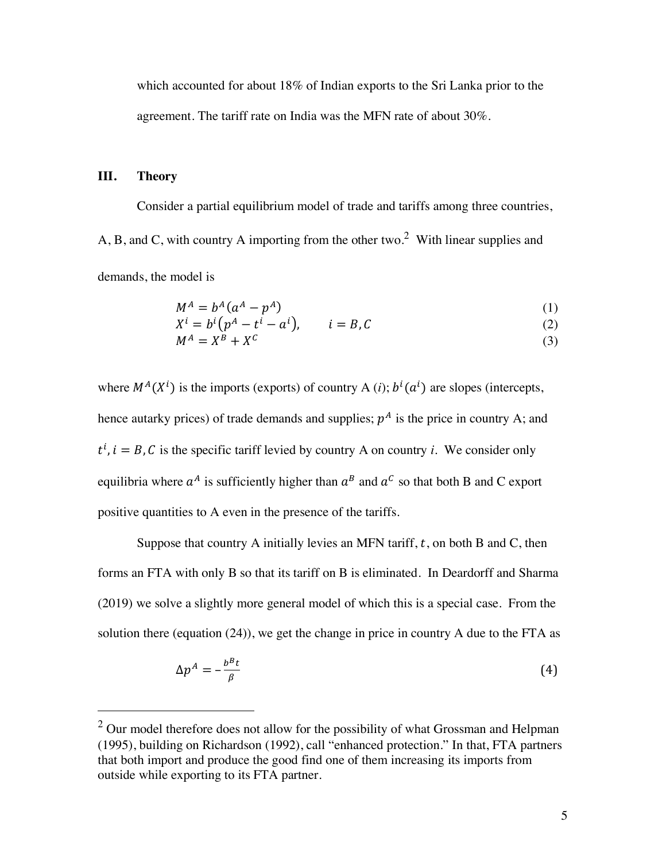which accounted for about 18% of Indian exports to the Sri Lanka prior to the agreement. The tariff rate on India was the MFN rate of about 30%.

#### **III. Theory**

 $\overline{a}$ 

Consider a partial equilibrium model of trade and tariffs among three countries, A, B, and C, with country A importing from the other two.<sup>2</sup> With linear supplies and demands, the model is

$$
M^A = b^A (a^A - p^A) \tag{1}
$$

$$
X^{i} = b^{i}(p^{A} - t^{i} - a^{i}), \qquad i = B, C
$$
 (2)

$$
M^A = X^B + X^C \tag{3}
$$

where  $M^A(X^i)$  is the imports (exports) of country A (*i*);  $b^i(a^i)$  are slopes (intercepts, hence autarky prices) of trade demands and supplies;  $p<sup>A</sup>$  is the price in country A; and  $t^i$ ,  $i = B$ , C is the specific tariff levied by country A on country *i*. We consider only equilibria where  $a^A$  is sufficiently higher than  $a^B$  and  $a^C$  so that both B and C export positive quantities to A even in the presence of the tariffs.

Suppose that country A initially levies an MFN tariff,  $t$ , on both B and C, then forms an FTA with only B so that its tariff on B is eliminated. In Deardorff and Sharma (2019) we solve a slightly more general model of which this is a special case. From the solution there (equation (24)), we get the change in price in country A due to the FTA as

$$
\Delta p^A = -\frac{b^B t}{\beta} \tag{4}
$$

<sup>&</sup>lt;sup>2</sup> Our model therefore does not allow for the possibility of what Grossman and Helpman (1995), building on Richardson (1992), call "enhanced protection." In that, FTA partners that both import and produce the good find one of them increasing its imports from outside while exporting to its FTA partner.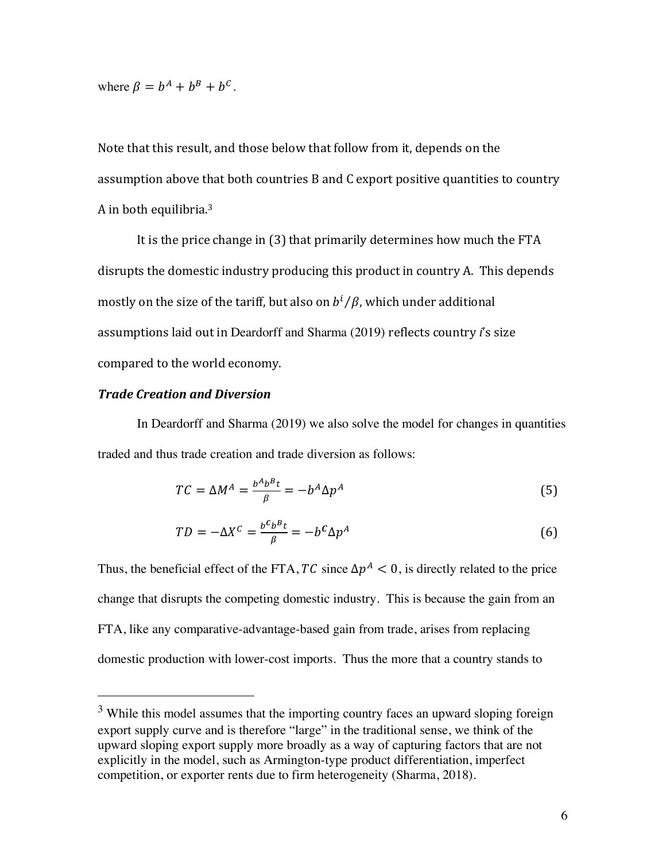where  $\beta = b^A + b^B + b^C$ .

Note that this result, and those below that follow from it, depends on the assumption above that both countries B and C export positive quantities to country A in both equilibria. $3$ 

It is the price change in  $(3)$  that primarily determines how much the FTA disrupts the domestic industry producing this product in country A. This depends mostly on the size of the tariff, but also on  $b^i/\beta$ , which under additional assumptions laid out in Deardorff and Sharma (2019) reflects country *i*'s size compared to the world economy.

#### *Trade Creation and Diversion*

 $\overline{a}$ 

In Deardorff and Sharma (2019) we also solve the model for changes in quantities traded and thus trade creation and trade diversion as follows:

$$
TC = \Delta M^A = \frac{b^A b^B t}{\beta} = -b^A \Delta p^A \tag{5}
$$

$$
TD = -\Delta X^C = \frac{b^C b^B t}{\beta} = -b^C \Delta p^A \tag{6}
$$

Thus, the beneficial effect of the FTA, TC since  $\Delta p^A < 0$ , is directly related to the price change that disrupts the competing domestic industry. This is because the gain from an FTA, like any comparative-advantage-based gain from trade, arises from replacing domestic production with lower-cost imports. Thus the more that a country stands to

<sup>&</sup>lt;sup>3</sup> While this model assumes that the importing country faces an upward sloping foreign export supply curve and is therefore "large" in the traditional sense, we think of the upward sloping export supply more broadly as a way of capturing factors that are not explicitly in the model, such as Armington-type product differentiation, imperfect competition, or exporter rents due to firm heterogeneity (Sharma, 2018).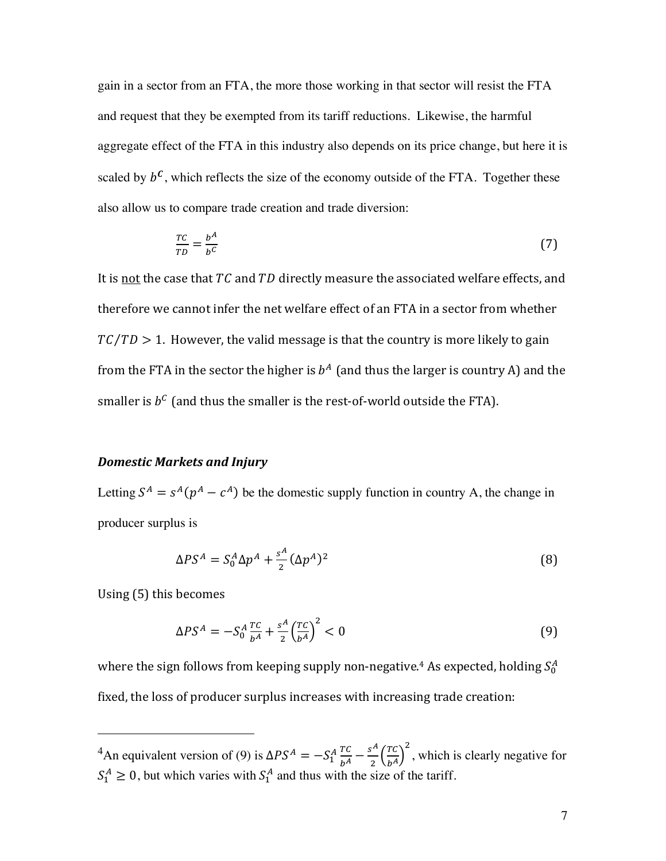gain in a sector from an FTA, the more those working in that sector will resist the FTA and request that they be exempted from its tariff reductions. Likewise, the harmful aggregate effect of the FTA in this industry also depends on its price change, but here it is scaled by  $b^c$ , which reflects the size of the economy outside of the FTA. Together these also allow us to compare trade creation and trade diversion:

$$
\frac{TC}{TD} = \frac{b^A}{b^C} \tag{7}
$$

It is not the case that  $TC$  and  $TD$  directly measure the associated welfare effects, and therefore we cannot infer the net welfare effect of an FTA in a sector from whether  $TC/TD > 1$ . However, the valid message is that the country is more likely to gain from the FTA in the sector the higher is  $b^A$  (and thus the larger is country A) and the smaller is  $b^c$  (and thus the smaller is the rest-of-world outside the FTA).

#### *Domestic Markets and Injury*

Letting  $S^A = s^A (p^A - c^A)$  be the domestic supply function in country A, the change in producer surplus is

$$
\Delta PS^A = S_0^A \Delta p^A + \frac{s^A}{2} (\Delta p^A)^2 \tag{8}
$$

Using  $(5)$  this becomes

 $\overline{a}$ 

$$
\Delta PS^A = -S_0^A \frac{TC}{b^A} + \frac{s^A}{2} \left(\frac{TC}{b^A}\right)^2 < 0 \tag{9}
$$

where the sign follows from keeping supply non-negative.<sup>4</sup> As expected, holding  $S_0^A$ fixed, the loss of producer surplus increases with increasing trade creation:

<sup>&</sup>lt;sup>4</sup>An equivalent version of (9) is  $\Delta PS^A = -S_1^A \frac{TC}{b^A} - \frac{s^A}{2} \left(\frac{TC}{b^A}\right)^2$ , which is clearly negative for  $S_1^A \geq 0$ , but which varies with  $S_1^A$  and thus with the size of the tariff.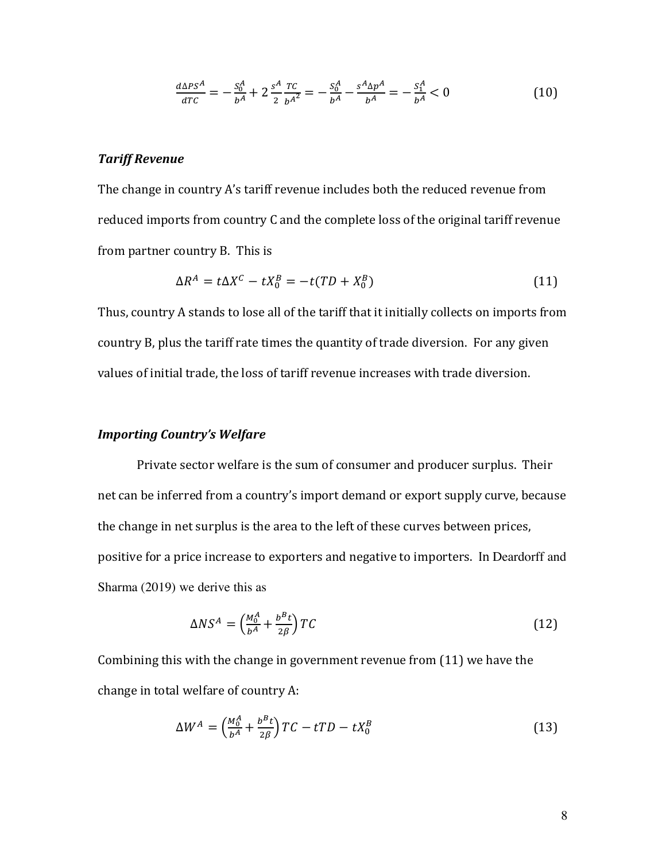$$
\frac{d\Delta PS^{A}}{dTC} = -\frac{S_{0}^{A}}{b^{A}} + 2\frac{s^{A}}{2}\frac{TC}{b^{A^{2}}} = -\frac{S_{0}^{A}}{b^{A}} - \frac{s^{A}\Delta p^{A}}{b^{A}} = -\frac{S_{1}^{A}}{b^{A}} < 0
$$
\n(10)

#### *Tariff Revenue*

The change in country A's tariff revenue includes both the reduced revenue from reduced imports from country C and the complete loss of the original tariff revenue from partner country B. This is

$$
\Delta R^A = t\Delta X^C - tX_0^B = -t(TD + X_0^B) \tag{11}
$$

Thus, country A stands to lose all of the tariff that it initially collects on imports from country B, plus the tariff rate times the quantity of trade diversion. For any given values of initial trade, the loss of tariff revenue increases with trade diversion.

#### *Importing Country's Welfare*

Private sector welfare is the sum of consumer and producer surplus. Their net can be inferred from a country's import demand or export supply curve, because the change in net surplus is the area to the left of these curves between prices, positive for a price increase to exporters and negative to importers. In Deardorff and Sharma (2019) we derive this as

$$
\Delta NS^A = \left(\frac{M_0^A}{b^A} + \frac{b^B t}{2\beta}\right) TC
$$
\n(12)

Combining this with the change in government revenue from  $(11)$  we have the change in total welfare of country A:

$$
\Delta W^A = \left(\frac{M_0^A}{b^A} + \frac{b^B t}{2\beta}\right)TC - tTD - tX_0^B \tag{13}
$$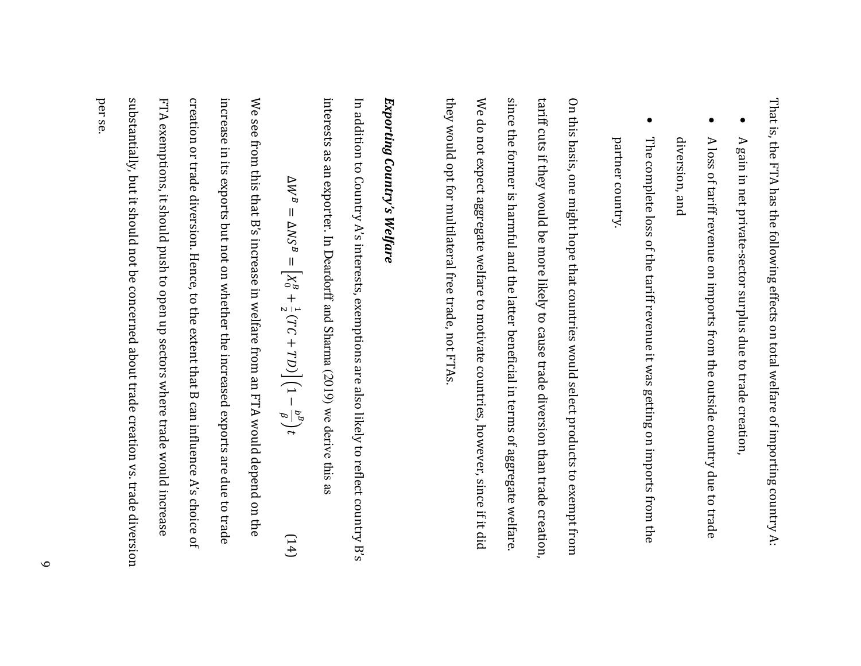That is, the FTA has the following effects on total welfare of importing country A: That is, the FTA has the FTA has the following effects on total welfare of importing country  $A$ :

- A gain in net private-sector surplus due to trade creation. A gain in net private-sector surplus due to trade creation,
- diversion, and A loss of tariff revenue on imports from the outside country due to trade diversion, and  $A$  loss of tariff revenue on imports from the outside country due to trade
- $\bullet$ partner country. The complete loss of the tariff revenue it was getting on imports from the partner country. The complete loss of the tariff revenue it was getting on imports from the

they would opt for multilateral free trade, not FTAs We do not expect aggregate welfare to motivate countries, however, since if it did since the former is harmful and the latter beneficial in terms of aggregate welfare On this basis, one might hope that countries would select products to exempt from We do not expect aggregate welfare to motivate countries, however, since if it did since the former is harmful and the latter beneficial in terms of aggregate welfare. tariff On this basis, one might hope that countries would select products to exempt from cuts if uld opt for multilateral free trade, not FTAs. they would be more likely to cause trade diversion than trade creation, 

# Exporting Country's Welfare *Exporting Country's Welfare*

interests as an exporter. In Deardorff and Sharma (2019) we derive this as interests as an exporter. In Deardorff and Sharma (2019) we derive this as In addition to Country A's interests, exemptions are also likely to reflect country B's In addition to Country A's interests, exemptions are also likely to reflect country B's 

$$
\Delta W^{B} = \Delta NS^{B} = \left[ X_{0}^{B} + \frac{1}{2} (T C + T D) \right] \left( 1 - \frac{b^{B}}{\beta} \right) t
$$
 (14)

per se. substantially, but it should not be concerned about trade creation vs. trade diversion FTA exemptions, it should push to open up sectors where trade would increase creation or trade diversion. Hence, to the extent that B can influence  $A$ 's choice of increase in its exports but not on whether the increased exports are due to trade We see from this that B's increase in welfare from an FTA would depend on the substantially, but it should not be concerned about trade creation vs. trade  $\dim$ FTA exemptions, it should push to open up sectors where trade would increase creation or trade diversion. Hence, to the extent We see from this in its exports but not on whether the increased exports are due to trade that B's increase in welfare from an FTA would depend on the B can influence A's choice of 

 $\circ$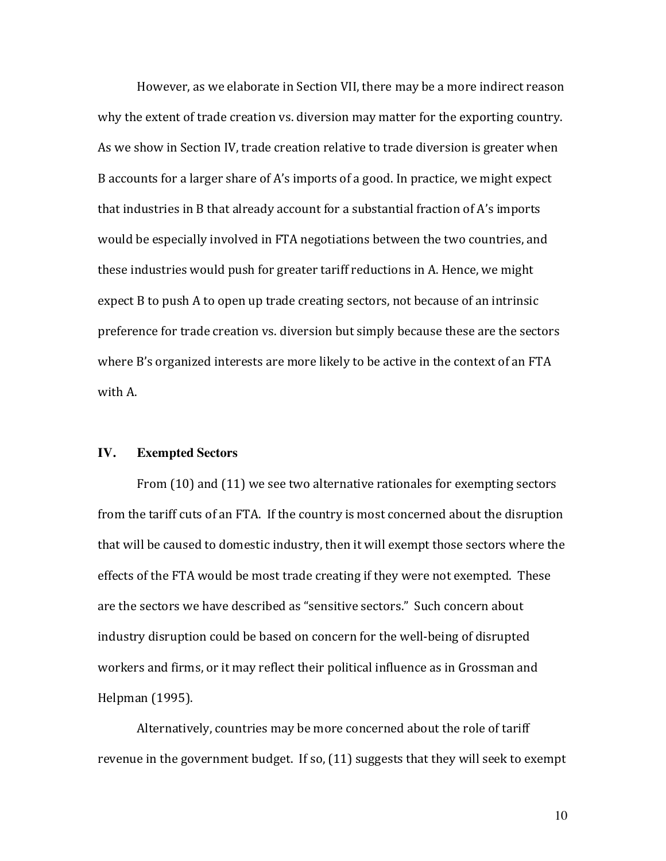However, as we elaborate in Section VII, there may be a more indirect reason why the extent of trade creation vs. diversion may matter for the exporting country. As we show in Section IV, trade creation relative to trade diversion is greater when B accounts for a larger share of A's imports of a good. In practice, we might expect that industries in B that already account for a substantial fraction of  $A$ 's imports would be especially involved in FTA negotiations between the two countries, and these industries would push for greater tariff reductions in A. Hence, we might expect B to push A to open up trade creating sectors, not because of an intrinsic preference for trade creation vs. diversion but simply because these are the sectors where B's organized interests are more likely to be active in the context of an FTA with A.

#### **IV. Exempted Sectors**

From  $(10)$  and  $(11)$  we see two alternative rationales for exempting sectors from the tariff cuts of an FTA. If the country is most concerned about the disruption that will be caused to domestic industry, then it will exempt those sectors where the effects of the FTA would be most trade creating if they were not exempted. These are the sectors we have described as "sensitive sectors." Such concern about industry disruption could be based on concern for the well-being of disrupted workers and firms, or it may reflect their political influence as in Grossman and Helpman (1995).

Alternatively, countries may be more concerned about the role of tariff revenue in the government budget. If so,  $(11)$  suggests that they will seek to exempt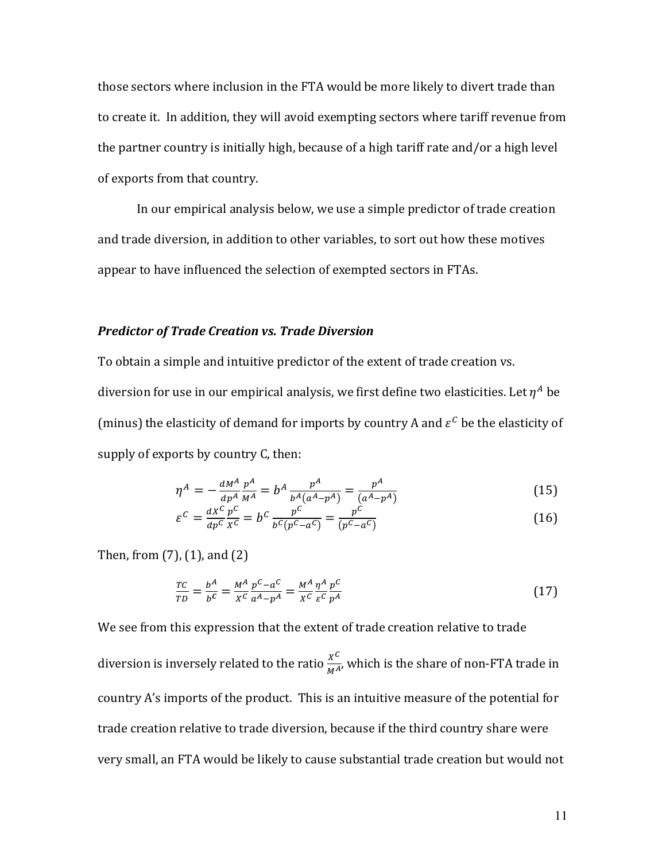those sectors where inclusion in the FTA would be more likely to divert trade than to create it. In addition, they will avoid exempting sectors where tariff revenue from the partner country is initially high, because of a high tariff rate and/or a high level of exports from that country.

In our empirical analysis below, we use a simple predictor of trade creation and trade diversion, in addition to other variables, to sort out how these motives appear to have influenced the selection of exempted sectors in FTAs.

#### *Predictor of Trade Creation vs. Trade Diversion*

To obtain a simple and intuitive predictor of the extent of trade creation vs. diversion for use in our empirical analysis, we first define two elasticities. Let  $\eta^A$  be (minus) the elasticity of demand for imports by country A and  $\varepsilon^C$  be the elasticity of supply of exports by country C, then:

$$
\eta^A = -\frac{dM^A}{dp^A} \frac{p^A}{M^A} = b^A \frac{p^A}{b^A (a^A - p^A)} = \frac{p^A}{(a^A - p^A)}
$$
(15)

$$
\varepsilon^C = \frac{d x^C}{d p^C} \frac{p^C}{x^C} = b^C \frac{p^C}{b^C (p^C - a^C)} = \frac{p^C}{(p^C - a^C)}
$$
(16)

Then, from  $(7)$ ,  $(1)$ , and  $(2)$ 

$$
\frac{TC}{TD} = \frac{b^A}{b^C} = \frac{M^A}{X^C} \frac{p^C - a^C}{a^A - p^A} = \frac{M^A}{X^C} \frac{\eta^A}{\varepsilon^C} \frac{p^C}{p^A}
$$
(17)

We see from this expression that the extent of trade creation relative to trade diversion is inversely related to the ratio $\frac{X^C}{M^A}$ , which is the share of non-FTA trade in country A's imports of the product. This is an intuitive measure of the potential for trade creation relative to trade diversion, because if the third country share were very small, an FTA would be likely to cause substantial trade creation but would not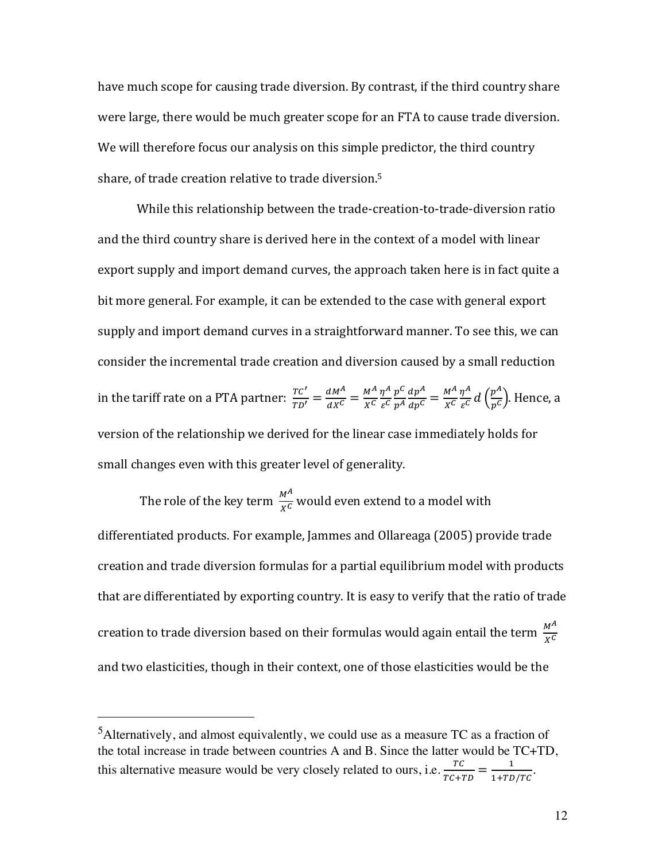have much scope for causing trade diversion. By contrast, if the third country share were large, there would be much greater scope for an FTA to cause trade diversion. We will therefore focus our analysis on this simple predictor, the third country share, of trade creation relative to trade diversion.<sup>5</sup>

While this relationship between the trade-creation-to-trade-diversion ratio and the third country share is derived here in the context of a model with linear export supply and import demand curves, the approach taken here is in fact quite a bit more general. For example, it can be extended to the case with general export supply and import demand curves in a straightforward manner. To see this, we can consider the incremental trade creation and diversion caused by a small reduction in the tariff rate on a PTA partner:  $\frac{TC'}{TD'} = \frac{dM^A}{dX^C} = \frac{M^A}{X^C}$  $n^A$  $\varepsilon^{\mathcal{C}}$  $p^{\mathcal{C}}$  $p^A$  $\frac{dp^A}{dp^C} = \frac{M^A}{X^C}$  $\frac{\eta^A}{\varepsilon^C}d\left(\frac{p^A}{p^C}\right)$ . Hence, a version of the relationship we derived for the linear case immediately holds for small changes even with this greater level of generality.

The role of the key term  $\frac{M^A}{X^C}$  would even extend to a model with differentiated products. For example, Jammes and Ollareaga (2005) provide trade creation and trade diversion formulas for a partial equilibrium model with products that are differentiated by exporting country. It is easy to verify that the ratio of trade creation to trade diversion based on their formulas would again entail the term  $\frac{M^A}{X^C}$ and two elasticities, though in their context, one of those elasticities would be the

<sup>&</sup>lt;sup>5</sup> Alternatively, and almost equivalently, we could use as a measure TC as a fraction of the total increase in trade between countries A and B. Since the latter would be TC+TD, this alternative measure would be very closely related to ours, i.e.  $\frac{TC}{TC+TD} = \frac{1}{1+TD/TC}$ .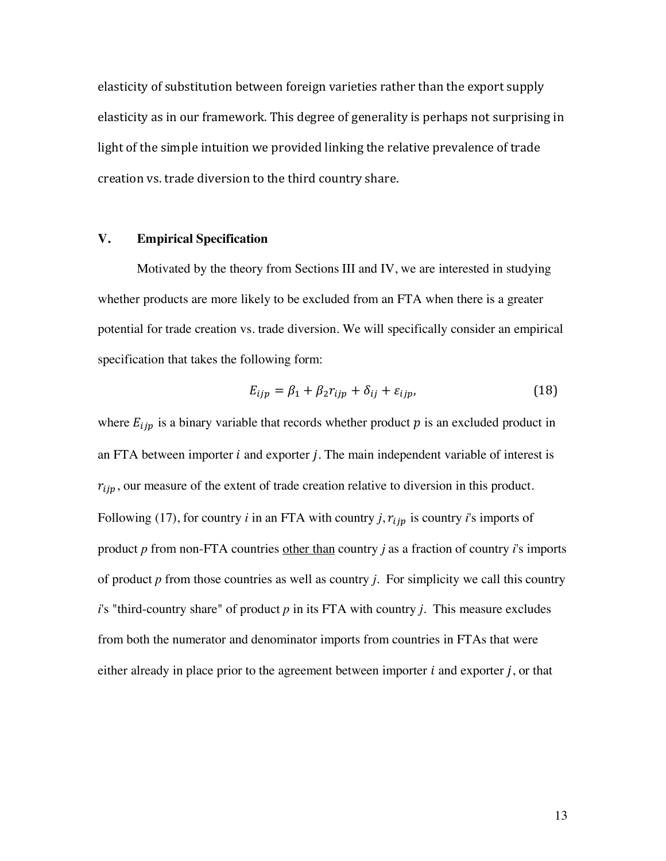elasticity of substitution between foreign varieties rather than the export supply elasticity as in our framework. This degree of generality is perhaps not surprising in light of the simple intuition we provided linking the relative prevalence of trade creation vs. trade diversion to the third country share.

#### **V. Empirical Specification**

Motivated by the theory from Sections III and IV, we are interested in studying whether products are more likely to be excluded from an FTA when there is a greater potential for trade creation vs. trade diversion. We will specifically consider an empirical specification that takes the following form:

$$
E_{ijp} = \beta_1 + \beta_2 r_{ijp} + \delta_{ij} + \varepsilon_{ijp},
$$
\n(18)

where  $E_{ijp}$  is a binary variable that records whether product  $p$  is an excluded product in an FTA between importer  $i$  and exporter  $j$ . The main independent variable of interest is  $r_{iip}$ , our measure of the extent of trade creation relative to diversion in this product. Following (17), for country *i* in an FTA with country *j*,  $r_{ijp}$  is country *i*'s imports of product *p* from non-FTA countries other than country *j* as a fraction of country *i*'s imports of product *p* from those countries as well as country *j*. For simplicity we call this country *i*'s "third-country share" of product *p* in its FTA with country *j*. This measure excludes from both the numerator and denominator imports from countries in FTAs that were either already in place prior to the agreement between importer  $i$  and exporter  $j$ , or that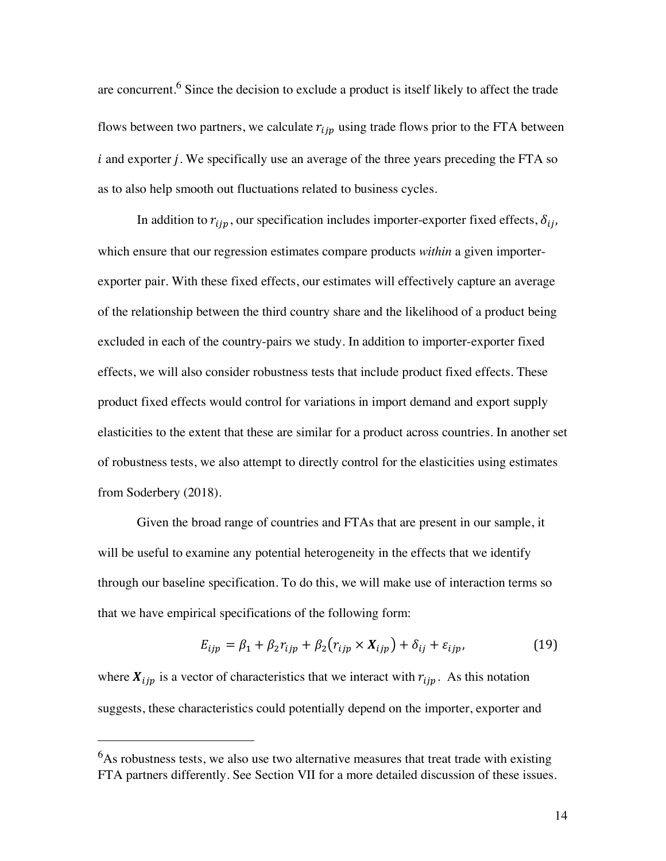are concurrent.<sup>6</sup> Since the decision to exclude a product is itself likely to affect the trade flows between two partners, we calculate  $r_{i/p}$  using trade flows prior to the FTA between  $i$  and exporter  $j$ . We specifically use an average of the three years preceding the FTA so as to also help smooth out fluctuations related to business cycles.

In addition to  $r_{iip}$ , our specification includes importer-exporter fixed effects,  $\delta_{ij}$ , which ensure that our regression estimates compare products *within* a given importerexporter pair. With these fixed effects, our estimates will effectively capture an average of the relationship between the third country share and the likelihood of a product being excluded in each of the country-pairs we study. In addition to importer-exporter fixed effects, we will also consider robustness tests that include product fixed effects. These product fixed effects would control for variations in import demand and export supply elasticities to the extent that these are similar for a product across countries. In another set of robustness tests, we also attempt to directly control for the elasticities using estimates from Soderbery (2018).

Given the broad range of countries and FTAs that are present in our sample, it will be useful to examine any potential heterogeneity in the effects that we identify through our baseline specification. To do this, we will make use of interaction terms so that we have empirical specifications of the following form:

$$
E_{ijp} = \beta_1 + \beta_2 r_{ijp} + \beta_2 (r_{ijp} \times X_{ijp}) + \delta_{ij} + \varepsilon_{ijp},
$$
\n(19)

where  $X_{ijp}$  is a vector of characteristics that we interact with  $r_{ijp}$ . As this notation suggests, these characteristics could potentially depend on the importer, exporter and

 ${}^{6}$ As robustness tests, we also use two alternative measures that treat trade with existing FTA partners differently. See Section VII for a more detailed discussion of these issues.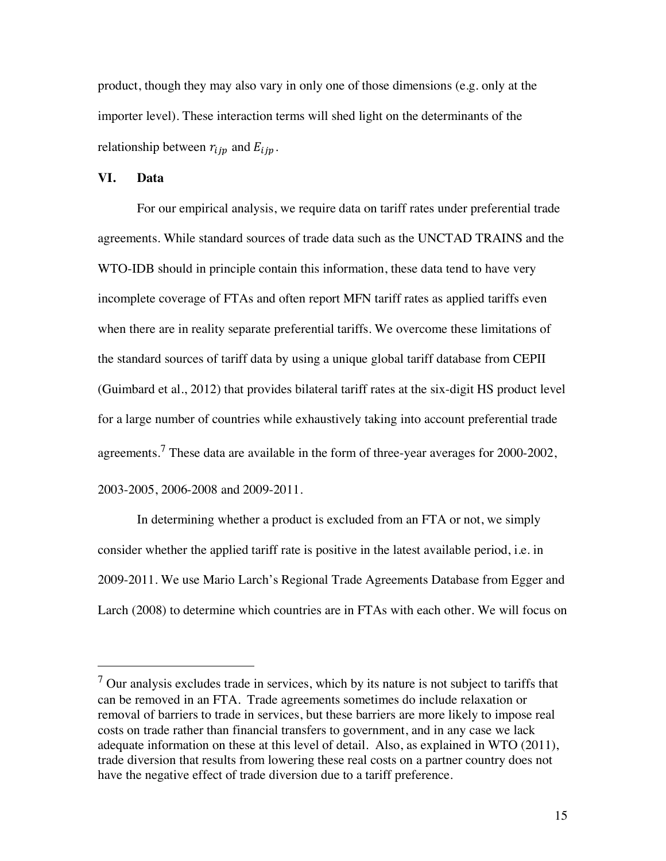product, though they may also vary in only one of those dimensions (e.g. only at the importer level). These interaction terms will shed light on the determinants of the relationship between  $r_{iip}$  and  $E_{iip}$ .

#### **VI. Data**

 $\overline{a}$ 

For our empirical analysis, we require data on tariff rates under preferential trade agreements. While standard sources of trade data such as the UNCTAD TRAINS and the WTO-IDB should in principle contain this information, these data tend to have very incomplete coverage of FTAs and often report MFN tariff rates as applied tariffs even when there are in reality separate preferential tariffs. We overcome these limitations of the standard sources of tariff data by using a unique global tariff database from CEPII (Guimbard et al., 2012) that provides bilateral tariff rates at the six-digit HS product level for a large number of countries while exhaustively taking into account preferential trade agreements.<sup>7</sup> These data are available in the form of three-year averages for 2000-2002, 2003-2005, 2006-2008 and 2009-2011.

In determining whether a product is excluded from an FTA or not, we simply consider whether the applied tariff rate is positive in the latest available period, i.e. in 2009-2011. We use Mario Larch's Regional Trade Agreements Database from Egger and Larch (2008) to determine which countries are in FTAs with each other. We will focus on

 $<sup>7</sup>$  Our analysis excludes trade in services, which by its nature is not subject to tariffs that</sup> can be removed in an FTA. Trade agreements sometimes do include relaxation or removal of barriers to trade in services, but these barriers are more likely to impose real costs on trade rather than financial transfers to government, and in any case we lack adequate information on these at this level of detail. Also, as explained in WTO (2011), trade diversion that results from lowering these real costs on a partner country does not have the negative effect of trade diversion due to a tariff preference.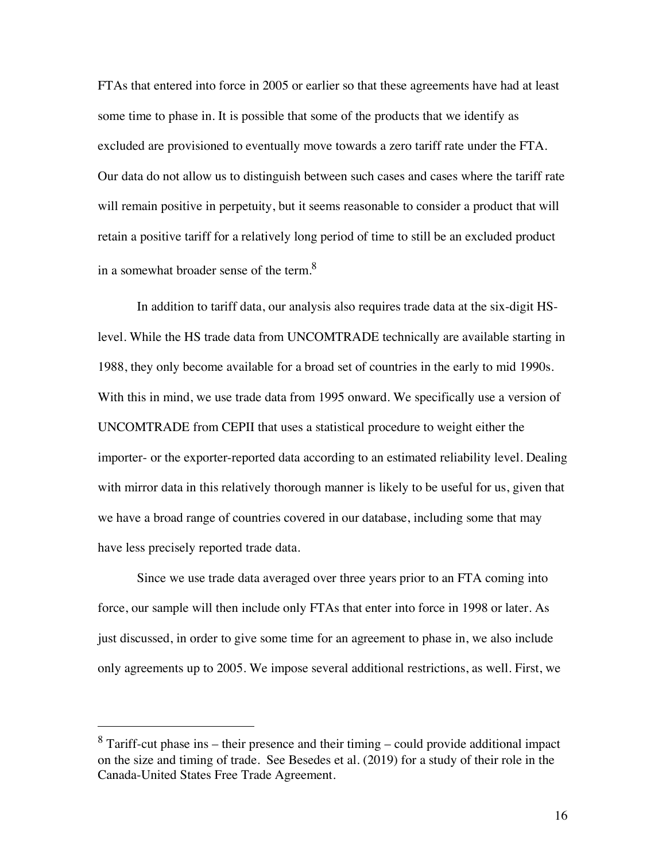FTAs that entered into force in 2005 or earlier so that these agreements have had at least some time to phase in. It is possible that some of the products that we identify as excluded are provisioned to eventually move towards a zero tariff rate under the FTA. Our data do not allow us to distinguish between such cases and cases where the tariff rate will remain positive in perpetuity, but it seems reasonable to consider a product that will retain a positive tariff for a relatively long period of time to still be an excluded product in a somewhat broader sense of the term.<sup>8</sup>

In addition to tariff data, our analysis also requires trade data at the six-digit HSlevel. While the HS trade data from UNCOMTRADE technically are available starting in 1988, they only become available for a broad set of countries in the early to mid 1990s. With this in mind, we use trade data from 1995 onward. We specifically use a version of UNCOMTRADE from CEPII that uses a statistical procedure to weight either the importer- or the exporter-reported data according to an estimated reliability level. Dealing with mirror data in this relatively thorough manner is likely to be useful for us, given that we have a broad range of countries covered in our database, including some that may have less precisely reported trade data.

Since we use trade data averaged over three years prior to an FTA coming into force, our sample will then include only FTAs that enter into force in 1998 or later. As just discussed, in order to give some time for an agreement to phase in, we also include only agreements up to 2005. We impose several additional restrictions, as well. First, we

 $8$  Tariff-cut phase ins – their presence and their timing – could provide additional impact on the size and timing of trade. See Besedes et al. (2019) for a study of their role in the Canada-United States Free Trade Agreement.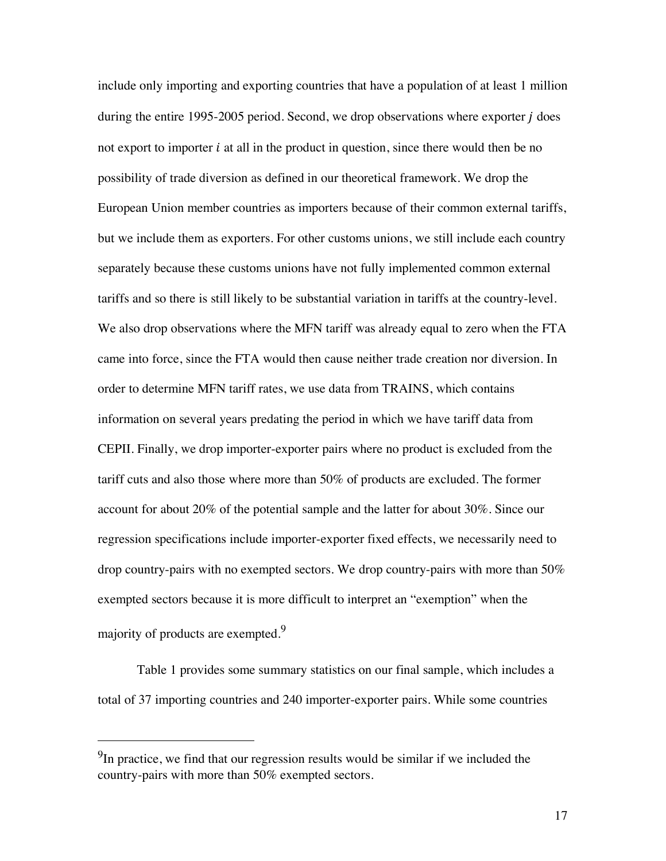include only importing and exporting countries that have a population of at least 1 million during the entire 1995-2005 period. Second, we drop observations where exporter  $j$  does not export to importer  $i$  at all in the product in question, since there would then be no possibility of trade diversion as defined in our theoretical framework. We drop the European Union member countries as importers because of their common external tariffs, but we include them as exporters. For other customs unions, we still include each country separately because these customs unions have not fully implemented common external tariffs and so there is still likely to be substantial variation in tariffs at the country-level. We also drop observations where the MFN tariff was already equal to zero when the FTA came into force, since the FTA would then cause neither trade creation nor diversion. In order to determine MFN tariff rates, we use data from TRAINS, which contains information on several years predating the period in which we have tariff data from CEPII. Finally, we drop importer-exporter pairs where no product is excluded from the tariff cuts and also those where more than 50% of products are excluded. The former account for about 20% of the potential sample and the latter for about 30%. Since our regression specifications include importer-exporter fixed effects, we necessarily need to drop country-pairs with no exempted sectors. We drop country-pairs with more than 50% exempted sectors because it is more difficult to interpret an "exemption" when the majority of products are exempted.<sup>9</sup>

Table 1 provides some summary statistics on our final sample, which includes a total of 37 importing countries and 240 importer-exporter pairs. While some countries

 $9$ In practice, we find that our regression results would be similar if we included the country-pairs with more than 50% exempted sectors.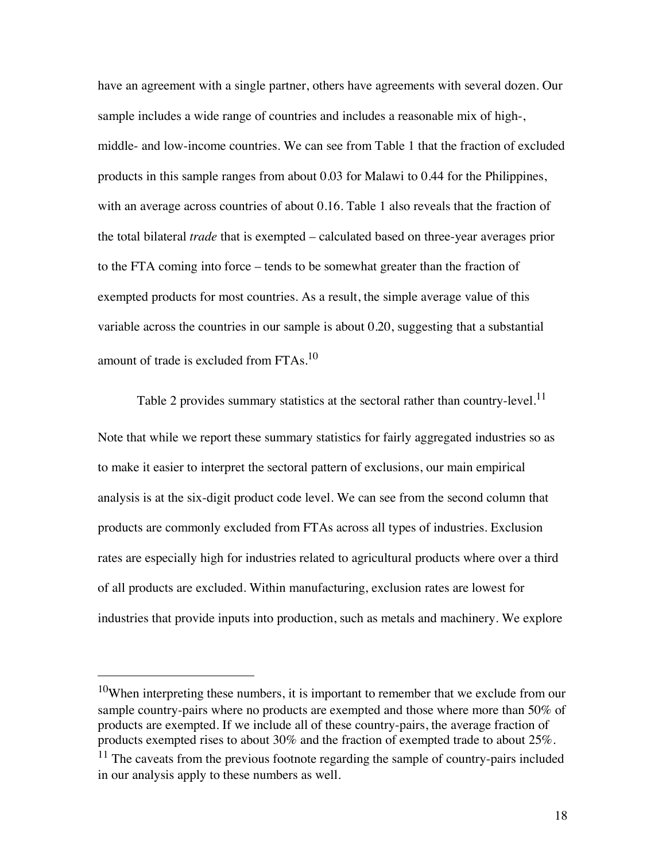have an agreement with a single partner, others have agreements with several dozen. Our sample includes a wide range of countries and includes a reasonable mix of high-, middle- and low-income countries. We can see from Table 1 that the fraction of excluded products in this sample ranges from about 0.03 for Malawi to 0.44 for the Philippines, with an average across countries of about 0.16. Table 1 also reveals that the fraction of the total bilateral *trade* that is exempted – calculated based on three-year averages prior to the FTA coming into force – tends to be somewhat greater than the fraction of exempted products for most countries. As a result, the simple average value of this variable across the countries in our sample is about 0.20, suggesting that a substantial amount of trade is excluded from FTAs. $^{10}$ 

Table 2 provides summary statistics at the sectoral rather than country-level.<sup>11</sup> Note that while we report these summary statistics for fairly aggregated industries so as to make it easier to interpret the sectoral pattern of exclusions, our main empirical analysis is at the six-digit product code level. We can see from the second column that products are commonly excluded from FTAs across all types of industries. Exclusion rates are especially high for industries related to agricultural products where over a third of all products are excluded. Within manufacturing, exclusion rates are lowest for industries that provide inputs into production, such as metals and machinery. We explore

<sup>10</sup>When interpreting these numbers, it is important to remember that we exclude from our sample country-pairs where no products are exempted and those where more than 50% of products are exempted. If we include all of these country-pairs, the average fraction of products exempted rises to about 30% and the fraction of exempted trade to about 25%.

 $11$  The caveats from the previous footnote regarding the sample of country-pairs included in our analysis apply to these numbers as well.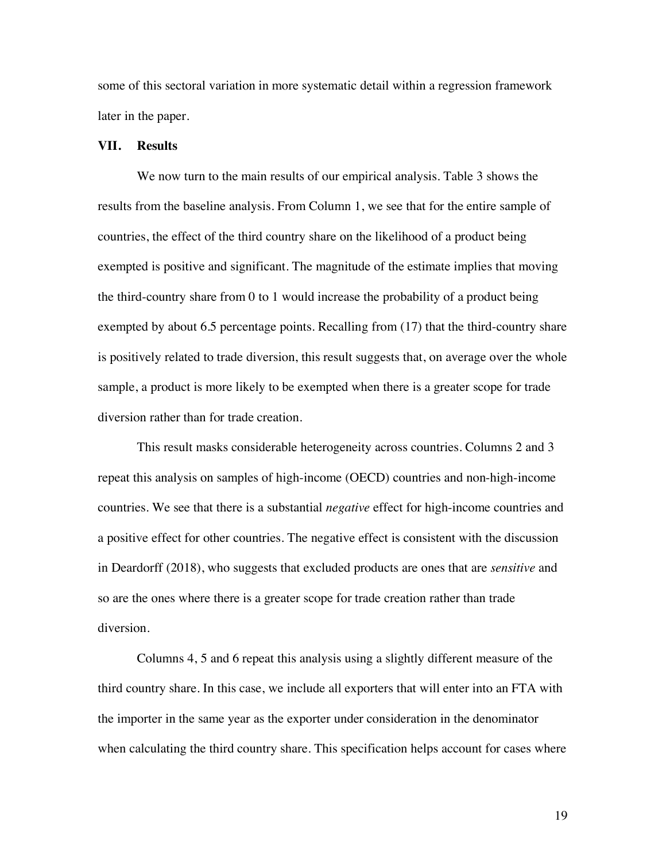some of this sectoral variation in more systematic detail within a regression framework later in the paper.

#### **VII. Results**

We now turn to the main results of our empirical analysis. Table 3 shows the results from the baseline analysis. From Column 1, we see that for the entire sample of countries, the effect of the third country share on the likelihood of a product being exempted is positive and significant. The magnitude of the estimate implies that moving the third-country share from 0 to 1 would increase the probability of a product being exempted by about 6.5 percentage points. Recalling from (17) that the third-country share is positively related to trade diversion, this result suggests that, on average over the whole sample, a product is more likely to be exempted when there is a greater scope for trade diversion rather than for trade creation.

This result masks considerable heterogeneity across countries. Columns 2 and 3 repeat this analysis on samples of high-income (OECD) countries and non-high-income countries. We see that there is a substantial *negative* effect for high-income countries and a positive effect for other countries. The negative effect is consistent with the discussion in Deardorff (2018), who suggests that excluded products are ones that are *sensitive* and so are the ones where there is a greater scope for trade creation rather than trade diversion.

Columns 4, 5 and 6 repeat this analysis using a slightly different measure of the third country share. In this case, we include all exporters that will enter into an FTA with the importer in the same year as the exporter under consideration in the denominator when calculating the third country share. This specification helps account for cases where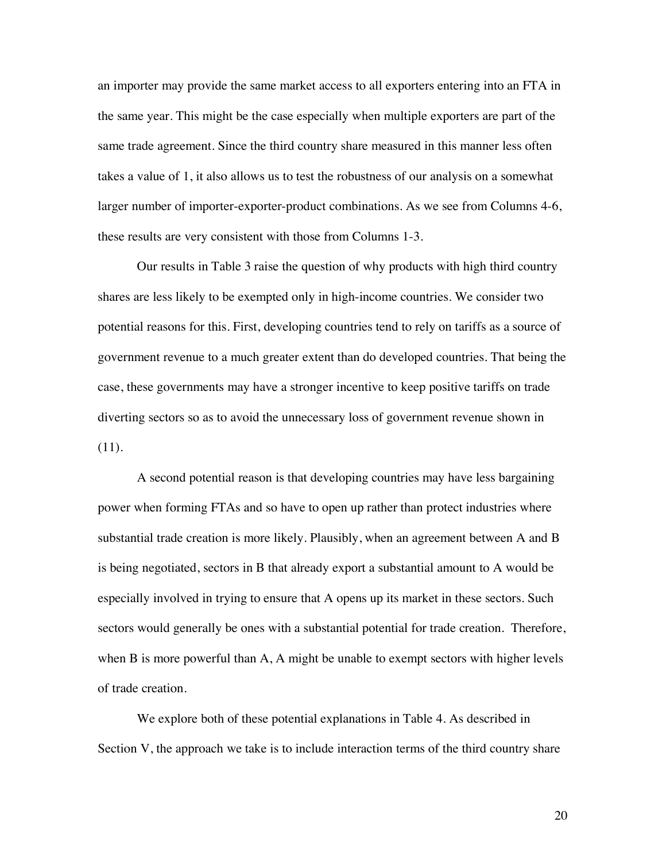an importer may provide the same market access to all exporters entering into an FTA in the same year. This might be the case especially when multiple exporters are part of the same trade agreement. Since the third country share measured in this manner less often takes a value of 1, it also allows us to test the robustness of our analysis on a somewhat larger number of importer-exporter-product combinations. As we see from Columns 4-6, these results are very consistent with those from Columns 1-3.

Our results in Table 3 raise the question of why products with high third country shares are less likely to be exempted only in high-income countries. We consider two potential reasons for this. First, developing countries tend to rely on tariffs as a source of government revenue to a much greater extent than do developed countries. That being the case, these governments may have a stronger incentive to keep positive tariffs on trade diverting sectors so as to avoid the unnecessary loss of government revenue shown in  $(11).$ 

A second potential reason is that developing countries may have less bargaining power when forming FTAs and so have to open up rather than protect industries where substantial trade creation is more likely. Plausibly, when an agreement between A and B is being negotiated, sectors in B that already export a substantial amount to A would be especially involved in trying to ensure that A opens up its market in these sectors. Such sectors would generally be ones with a substantial potential for trade creation. Therefore, when B is more powerful than A, A might be unable to exempt sectors with higher levels of trade creation.

We explore both of these potential explanations in Table 4. As described in Section V, the approach we take is to include interaction terms of the third country share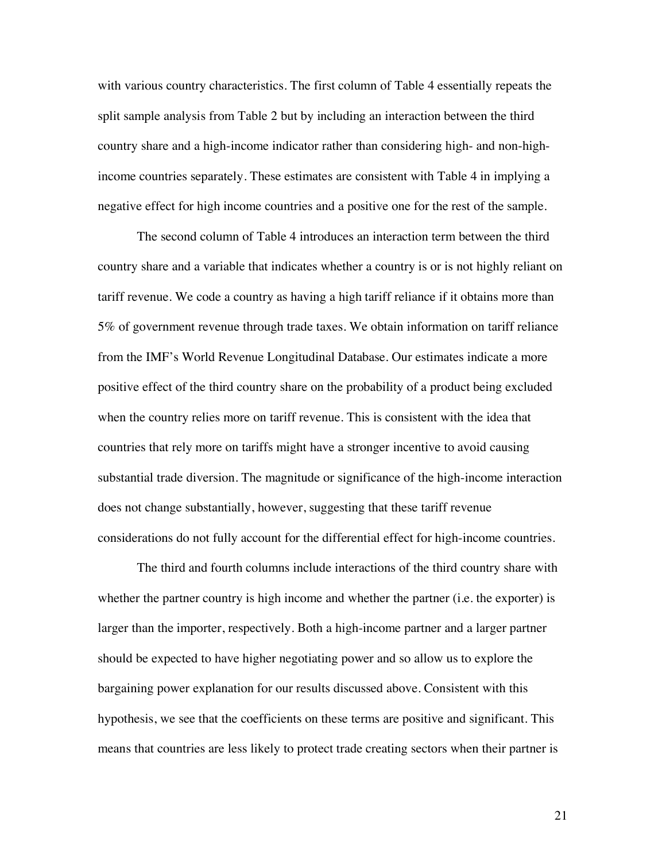with various country characteristics. The first column of Table 4 essentially repeats the split sample analysis from Table 2 but by including an interaction between the third country share and a high-income indicator rather than considering high- and non-highincome countries separately. These estimates are consistent with Table 4 in implying a negative effect for high income countries and a positive one for the rest of the sample.

The second column of Table 4 introduces an interaction term between the third country share and a variable that indicates whether a country is or is not highly reliant on tariff revenue. We code a country as having a high tariff reliance if it obtains more than 5% of government revenue through trade taxes. We obtain information on tariff reliance from the IMF's World Revenue Longitudinal Database. Our estimates indicate a more positive effect of the third country share on the probability of a product being excluded when the country relies more on tariff revenue. This is consistent with the idea that countries that rely more on tariffs might have a stronger incentive to avoid causing substantial trade diversion. The magnitude or significance of the high-income interaction does not change substantially, however, suggesting that these tariff revenue considerations do not fully account for the differential effect for high-income countries.

The third and fourth columns include interactions of the third country share with whether the partner country is high income and whether the partner (i.e. the exporter) is larger than the importer, respectively. Both a high-income partner and a larger partner should be expected to have higher negotiating power and so allow us to explore the bargaining power explanation for our results discussed above. Consistent with this hypothesis, we see that the coefficients on these terms are positive and significant. This means that countries are less likely to protect trade creating sectors when their partner is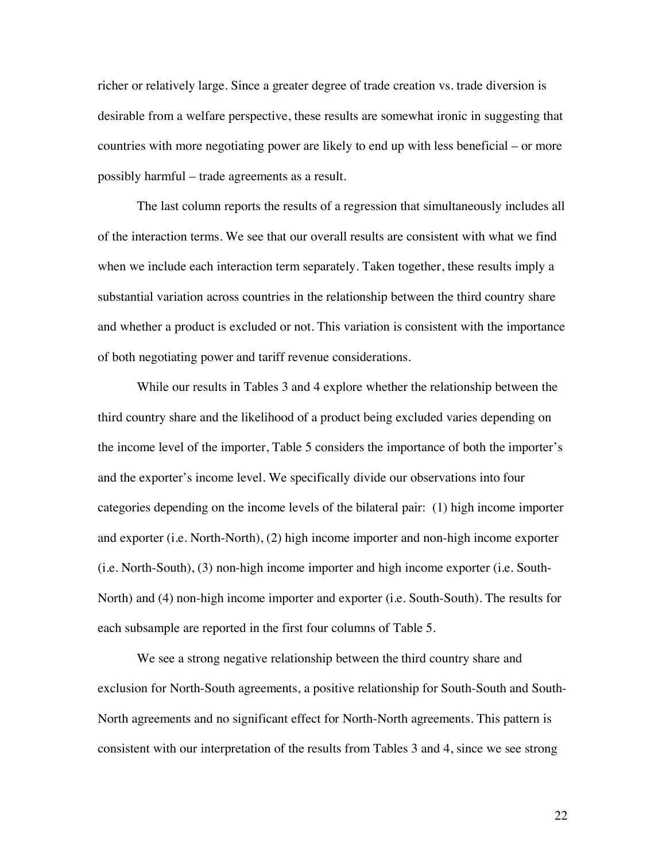richer or relatively large. Since a greater degree of trade creation vs. trade diversion is desirable from a welfare perspective, these results are somewhat ironic in suggesting that countries with more negotiating power are likely to end up with less beneficial – or more possibly harmful – trade agreements as a result.

The last column reports the results of a regression that simultaneously includes all of the interaction terms. We see that our overall results are consistent with what we find when we include each interaction term separately. Taken together, these results imply a substantial variation across countries in the relationship between the third country share and whether a product is excluded or not. This variation is consistent with the importance of both negotiating power and tariff revenue considerations.

While our results in Tables 3 and 4 explore whether the relationship between the third country share and the likelihood of a product being excluded varies depending on the income level of the importer, Table 5 considers the importance of both the importer's and the exporter's income level. We specifically divide our observations into four categories depending on the income levels of the bilateral pair: (1) high income importer and exporter (i.e. North-North), (2) high income importer and non-high income exporter (i.e. North-South), (3) non-high income importer and high income exporter (i.e. South-North) and (4) non-high income importer and exporter (i.e. South-South). The results for each subsample are reported in the first four columns of Table 5.

We see a strong negative relationship between the third country share and exclusion for North-South agreements, a positive relationship for South-South and South-North agreements and no significant effect for North-North agreements. This pattern is consistent with our interpretation of the results from Tables 3 and 4, since we see strong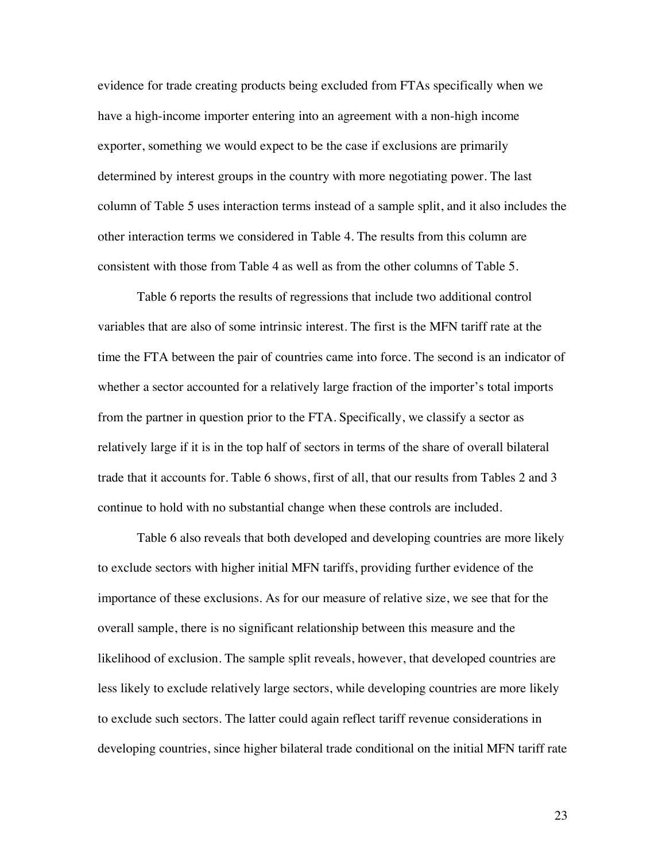evidence for trade creating products being excluded from FTAs specifically when we have a high-income importer entering into an agreement with a non-high income exporter, something we would expect to be the case if exclusions are primarily determined by interest groups in the country with more negotiating power. The last column of Table 5 uses interaction terms instead of a sample split, and it also includes the other interaction terms we considered in Table 4. The results from this column are consistent with those from Table 4 as well as from the other columns of Table 5.

Table 6 reports the results of regressions that include two additional control variables that are also of some intrinsic interest. The first is the MFN tariff rate at the time the FTA between the pair of countries came into force. The second is an indicator of whether a sector accounted for a relatively large fraction of the importer's total imports from the partner in question prior to the FTA. Specifically, we classify a sector as relatively large if it is in the top half of sectors in terms of the share of overall bilateral trade that it accounts for. Table 6 shows, first of all, that our results from Tables 2 and 3 continue to hold with no substantial change when these controls are included.

Table 6 also reveals that both developed and developing countries are more likely to exclude sectors with higher initial MFN tariffs, providing further evidence of the importance of these exclusions. As for our measure of relative size, we see that for the overall sample, there is no significant relationship between this measure and the likelihood of exclusion. The sample split reveals, however, that developed countries are less likely to exclude relatively large sectors, while developing countries are more likely to exclude such sectors. The latter could again reflect tariff revenue considerations in developing countries, since higher bilateral trade conditional on the initial MFN tariff rate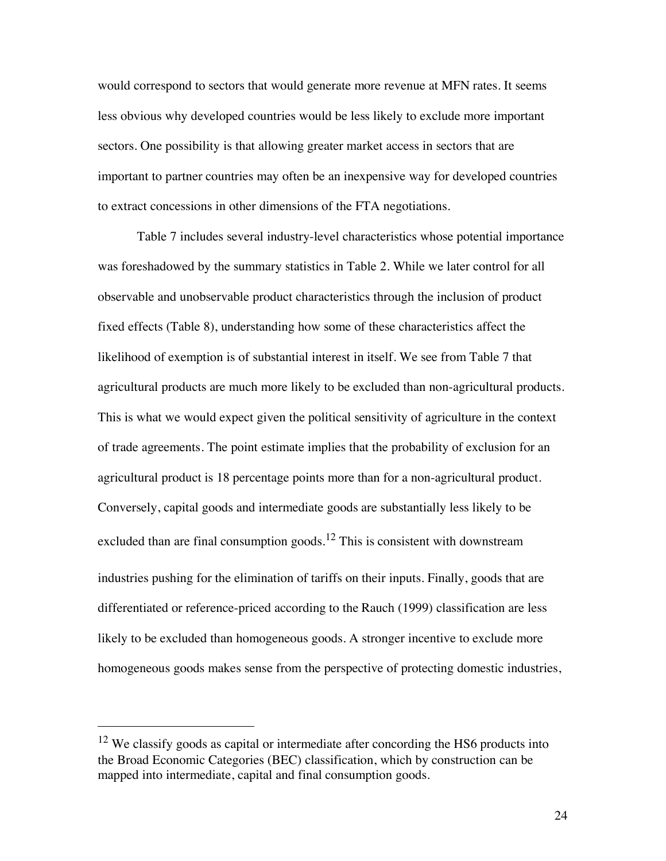would correspond to sectors that would generate more revenue at MFN rates. It seems less obvious why developed countries would be less likely to exclude more important sectors. One possibility is that allowing greater market access in sectors that are important to partner countries may often be an inexpensive way for developed countries to extract concessions in other dimensions of the FTA negotiations.

Table 7 includes several industry-level characteristics whose potential importance was foreshadowed by the summary statistics in Table 2. While we later control for all observable and unobservable product characteristics through the inclusion of product fixed effects (Table 8), understanding how some of these characteristics affect the likelihood of exemption is of substantial interest in itself. We see from Table 7 that agricultural products are much more likely to be excluded than non-agricultural products. This is what we would expect given the political sensitivity of agriculture in the context of trade agreements. The point estimate implies that the probability of exclusion for an agricultural product is 18 percentage points more than for a non-agricultural product. Conversely, capital goods and intermediate goods are substantially less likely to be excluded than are final consumption goods.<sup>12</sup> This is consistent with downstream industries pushing for the elimination of tariffs on their inputs. Finally, goods that are differentiated or reference-priced according to the Rauch (1999) classification are less likely to be excluded than homogeneous goods. A stronger incentive to exclude more homogeneous goods makes sense from the perspective of protecting domestic industries,

 $12$  We classify goods as capital or intermediate after concording the HS6 products into the Broad Economic Categories (BEC) classification, which by construction can be mapped into intermediate, capital and final consumption goods.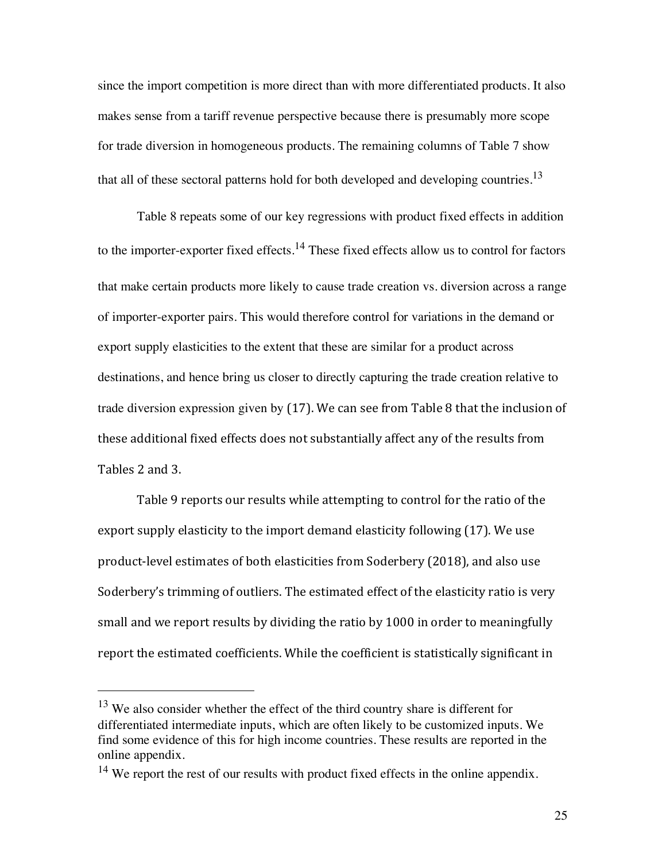since the import competition is more direct than with more differentiated products. It also makes sense from a tariff revenue perspective because there is presumably more scope for trade diversion in homogeneous products. The remaining columns of Table 7 show that all of these sectoral patterns hold for both developed and developing countries.<sup>13</sup>

Table 8 repeats some of our key regressions with product fixed effects in addition to the importer-exporter fixed effects.<sup>14</sup> These fixed effects allow us to control for factors that make certain products more likely to cause trade creation vs. diversion across a range of importer-exporter pairs. This would therefore control for variations in the demand or export supply elasticities to the extent that these are similar for a product across destinations, and hence bring us closer to directly capturing the trade creation relative to trade diversion expression given by  $(17)$ . We can see from Table 8 that the inclusion of these additional fixed effects does not substantially affect any of the results from Tables 2 and 3.

Table 9 reports our results while attempting to control for the ratio of the export supply elasticity to the import demand elasticity following (17). We use product-level estimates of both elasticities from Soderbery (2018), and also use Soderbery's trimming of outliers. The estimated effect of the elasticity ratio is very small and we report results by dividing the ratio by 1000 in order to meaningfully report the estimated coefficients. While the coefficient is statistically significant in

 $\overline{a}$ 

<sup>&</sup>lt;sup>13</sup> We also consider whether the effect of the third country share is different for differentiated intermediate inputs, which are often likely to be customized inputs. We find some evidence of this for high income countries. These results are reported in the online appendix.

<sup>&</sup>lt;sup>14</sup> We report the rest of our results with product fixed effects in the online appendix.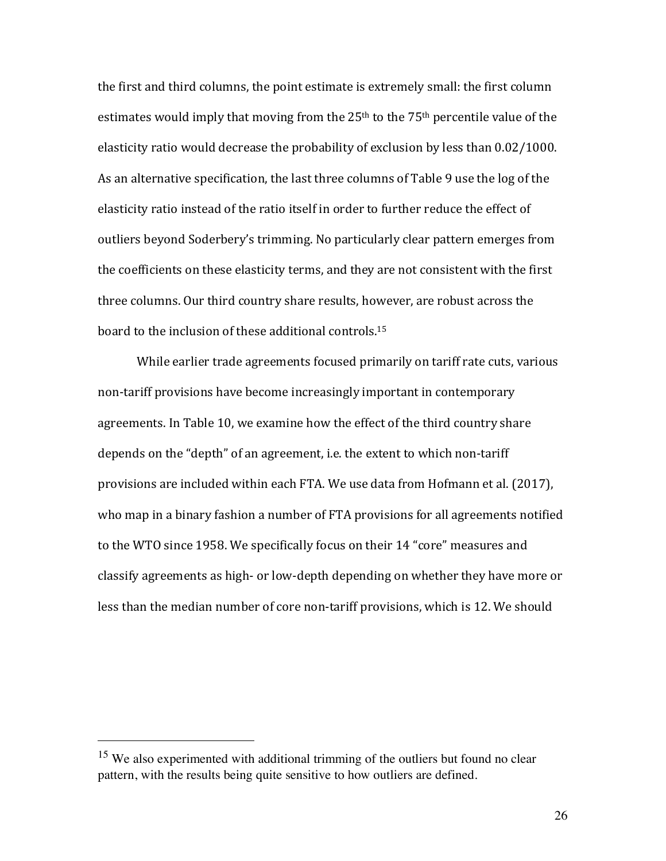the first and third columns, the point estimate is extremely small: the first column estimates would imply that moving from the  $25<sup>th</sup>$  to the  $75<sup>th</sup>$  percentile value of the elasticity ratio would decrease the probability of exclusion by less than 0.02/1000. As an alternative specification, the last three columns of Table 9 use the log of the elasticity ratio instead of the ratio itself in order to further reduce the effect of outliers beyond Soderbery's trimming. No particularly clear pattern emerges from the coefficients on these elasticity terms, and they are not consistent with the first three columns. Our third country share results, however, are robust across the board to the inclusion of these additional controls.<sup>15</sup>

While earlier trade agreements focused primarily on tariff rate cuts, various non-tariff provisions have become increasingly important in contemporary agreements. In Table 10, we examine how the effect of the third country share depends on the "depth" of an agreement, i.e. the extent to which non-tariff provisions are included within each FTA. We use data from Hofmann et al. (2017), who map in a binary fashion a number of FTA provisions for all agreements notified to the WTO since 1958. We specifically focus on their 14 "core" measures and classify agreements as high- or low-depth depending on whether they have more or less than the median number of core non-tariff provisions, which is 12. We should

<sup>&</sup>lt;sup>15</sup> We also experimented with additional trimming of the outliers but found no clear pattern, with the results being quite sensitive to how outliers are defined.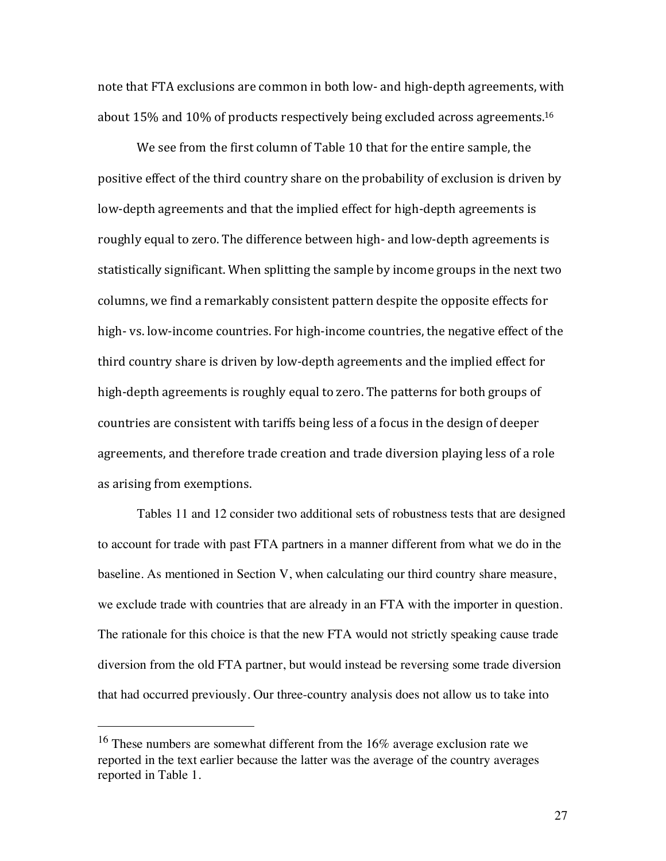note that FTA exclusions are common in both low- and high-depth agreements, with about 15% and 10% of products respectively being excluded across agreements.<sup>16</sup>

We see from the first column of Table 10 that for the entire sample, the positive effect of the third country share on the probability of exclusion is driven by low-depth agreements and that the implied effect for high-depth agreements is roughly equal to zero. The difference between high- and low-depth agreements is statistically significant. When splitting the sample by income groups in the next two columns, we find a remarkably consistent pattern despite the opposite effects for high- vs. low-income countries. For high-income countries, the negative effect of the third country share is driven by low-depth agreements and the implied effect for high-depth agreements is roughly equal to zero. The patterns for both groups of countries are consistent with tariffs being less of a focus in the design of deeper agreements, and therefore trade creation and trade diversion playing less of a role as arising from exemptions.

Tables 11 and 12 consider two additional sets of robustness tests that are designed to account for trade with past FTA partners in a manner different from what we do in the baseline. As mentioned in Section V, when calculating our third country share measure, we exclude trade with countries that are already in an FTA with the importer in question. The rationale for this choice is that the new FTA would not strictly speaking cause trade diversion from the old FTA partner, but would instead be reversing some trade diversion that had occurred previously. Our three-country analysis does not allow us to take into

<sup>16</sup> These numbers are somewhat different from the 16% average exclusion rate we reported in the text earlier because the latter was the average of the country averages reported in Table 1.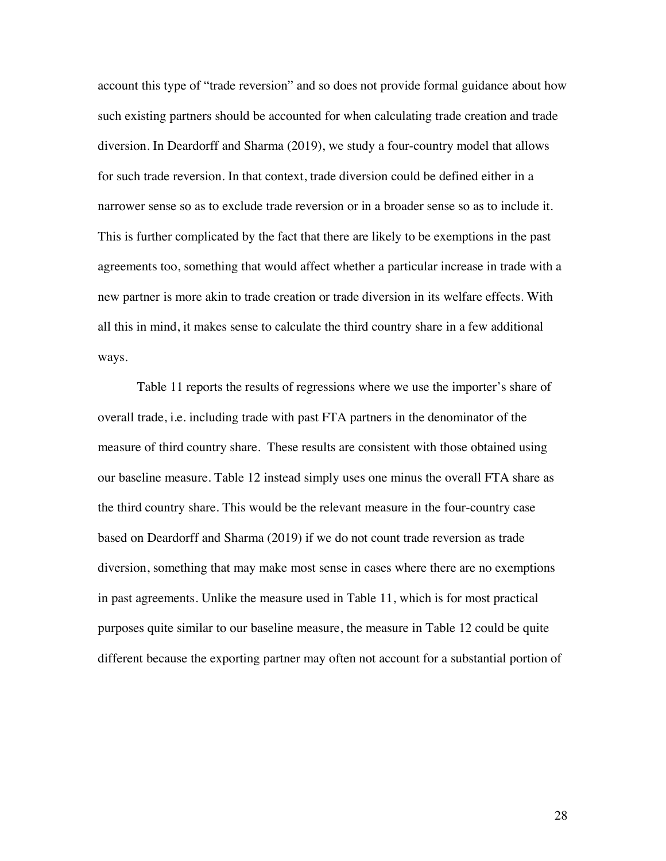account this type of "trade reversion" and so does not provide formal guidance about how such existing partners should be accounted for when calculating trade creation and trade diversion. In Deardorff and Sharma (2019), we study a four-country model that allows for such trade reversion. In that context, trade diversion could be defined either in a narrower sense so as to exclude trade reversion or in a broader sense so as to include it. This is further complicated by the fact that there are likely to be exemptions in the past agreements too, something that would affect whether a particular increase in trade with a new partner is more akin to trade creation or trade diversion in its welfare effects. With all this in mind, it makes sense to calculate the third country share in a few additional ways.

Table 11 reports the results of regressions where we use the importer's share of overall trade, i.e. including trade with past FTA partners in the denominator of the measure of third country share. These results are consistent with those obtained using our baseline measure. Table 12 instead simply uses one minus the overall FTA share as the third country share. This would be the relevant measure in the four-country case based on Deardorff and Sharma (2019) if we do not count trade reversion as trade diversion, something that may make most sense in cases where there are no exemptions in past agreements. Unlike the measure used in Table 11, which is for most practical purposes quite similar to our baseline measure, the measure in Table 12 could be quite different because the exporting partner may often not account for a substantial portion of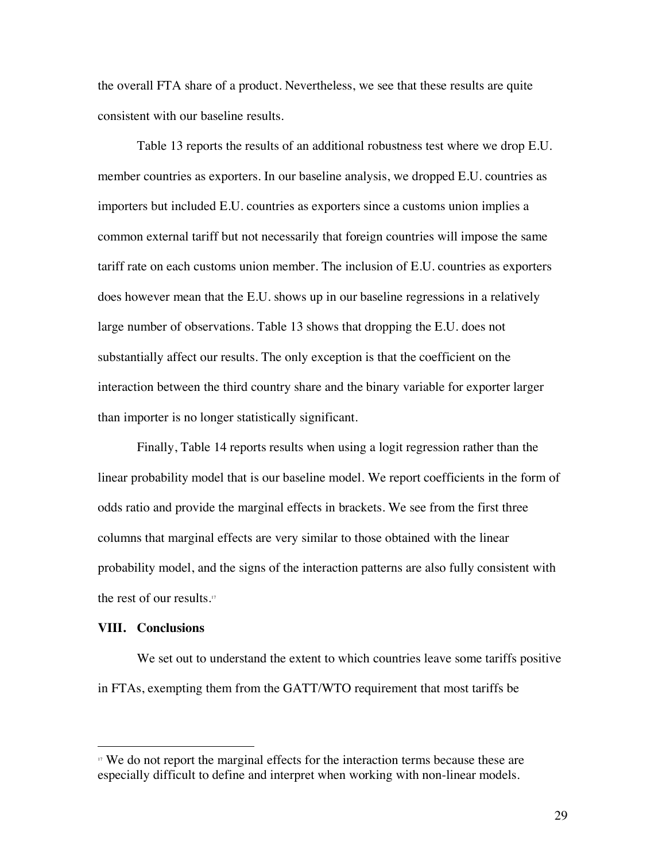the overall FTA share of a product. Nevertheless, we see that these results are quite consistent with our baseline results.

Table 13 reports the results of an additional robustness test where we drop E.U. member countries as exporters. In our baseline analysis, we dropped E.U. countries as importers but included E.U. countries as exporters since a customs union implies a common external tariff but not necessarily that foreign countries will impose the same tariff rate on each customs union member. The inclusion of E.U. countries as exporters does however mean that the E.U. shows up in our baseline regressions in a relatively large number of observations. Table 13 shows that dropping the E.U. does not substantially affect our results. The only exception is that the coefficient on the interaction between the third country share and the binary variable for exporter larger than importer is no longer statistically significant.

Finally, Table 14 reports results when using a logit regression rather than the linear probability model that is our baseline model. We report coefficients in the form of odds ratio and provide the marginal effects in brackets. We see from the first three columns that marginal effects are very similar to those obtained with the linear probability model, and the signs of the interaction patterns are also fully consistent with the rest of our results.17

#### **VIII. Conclusions**

We set out to understand the extent to which countries leave some tariffs positive in FTAs, exempting them from the GATT/WTO requirement that most tariffs be

 $17$  We do not report the marginal effects for the interaction terms because these are especially difficult to define and interpret when working with non-linear models.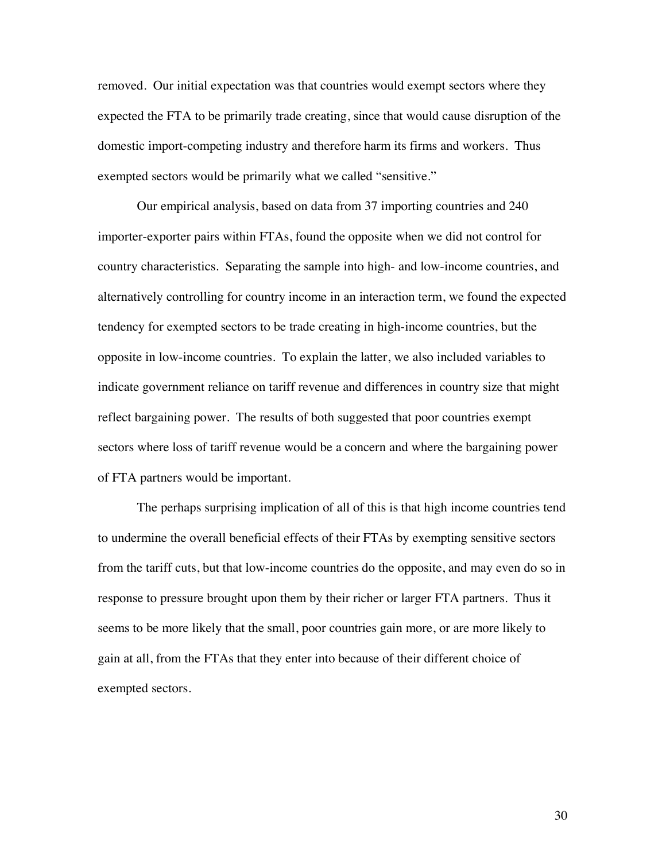removed. Our initial expectation was that countries would exempt sectors where they expected the FTA to be primarily trade creating, since that would cause disruption of the domestic import-competing industry and therefore harm its firms and workers. Thus exempted sectors would be primarily what we called "sensitive."

Our empirical analysis, based on data from 37 importing countries and 240 importer-exporter pairs within FTAs, found the opposite when we did not control for country characteristics. Separating the sample into high- and low-income countries, and alternatively controlling for country income in an interaction term, we found the expected tendency for exempted sectors to be trade creating in high-income countries, but the opposite in low-income countries. To explain the latter, we also included variables to indicate government reliance on tariff revenue and differences in country size that might reflect bargaining power. The results of both suggested that poor countries exempt sectors where loss of tariff revenue would be a concern and where the bargaining power of FTA partners would be important.

The perhaps surprising implication of all of this is that high income countries tend to undermine the overall beneficial effects of their FTAs by exempting sensitive sectors from the tariff cuts, but that low-income countries do the opposite, and may even do so in response to pressure brought upon them by their richer or larger FTA partners. Thus it seems to be more likely that the small, poor countries gain more, or are more likely to gain at all, from the FTAs that they enter into because of their different choice of exempted sectors.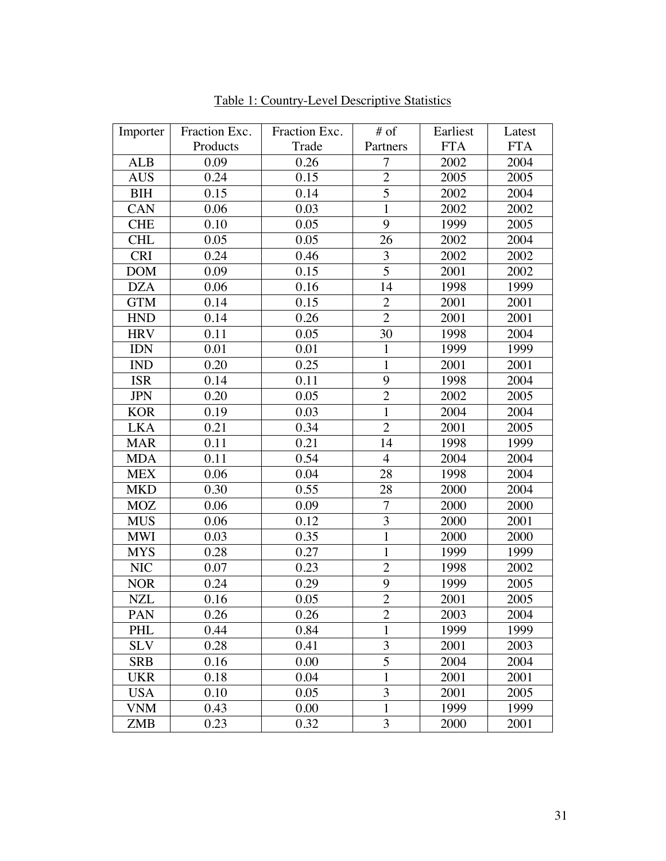| Importer   | Fraction Exc. | Fraction Exc. | $#$ of         | Earliest   | Latest     |
|------------|---------------|---------------|----------------|------------|------------|
|            | Products      | Trade         | Partners       | <b>FTA</b> | <b>FTA</b> |
| <b>ALB</b> | 0.09          | 0.26          | $\tau$         | 2002       | 2004       |
| <b>AUS</b> | 0.24          | 0.15          | $\overline{2}$ | 2005       | 2005       |
| <b>BIH</b> | 0.15          | 0.14          | $\overline{5}$ | 2002       | 2004       |
| <b>CAN</b> | 0.06          | 0.03          | $\mathbf{1}$   | 2002       | 2002       |
| <b>CHE</b> | 0.10          | 0.05          | 9              | 1999       | 2005       |
| <b>CHL</b> | 0.05          | 0.05          | 26             | 2002       | 2004       |
| <b>CRI</b> | 0.24          | 0.46          | 3              | 2002       | 2002       |
| <b>DOM</b> | 0.09          | 0.15          | $\overline{5}$ | 2001       | 2002       |
| <b>DZA</b> | 0.06          | 0.16          | 14             | 1998       | 1999       |
| <b>GTM</b> | 0.14          | 0.15          | $\overline{2}$ | 2001       | 2001       |
| <b>HND</b> | 0.14          | 0.26          | $\overline{2}$ | 2001       | 2001       |
| <b>HRV</b> | 0.11          | 0.05          | 30             | 1998       | 2004       |
| <b>IDN</b> | 0.01          | 0.01          | $\mathbf{1}$   | 1999       | 1999       |
| <b>IND</b> | 0.20          | 0.25          | $\mathbf{1}$   | 2001       | 2001       |
| <b>ISR</b> | 0.14          | 0.11          | 9              | 1998       | 2004       |
| <b>JPN</b> | 0.20          | 0.05          | $\overline{2}$ | 2002       | 2005       |
| <b>KOR</b> | 0.19          | 0.03          | $\mathbf{1}$   | 2004       | 2004       |
| <b>LKA</b> | 0.21          | 0.34          | $\overline{2}$ | 2001       | 2005       |
| <b>MAR</b> | 0.11          | 0.21          | 14             | 1998       | 1999       |
| <b>MDA</b> | 0.11          | 0.54          | $\overline{4}$ | 2004       | 2004       |
| <b>MEX</b> | 0.06          | 0.04          | 28             | 1998       | 2004       |
| <b>MKD</b> | 0.30          | 0.55          | 28             | 2000       | 2004       |
| <b>MOZ</b> | 0.06          | 0.09          | $\overline{7}$ | 2000       | 2000       |
| <b>MUS</b> | 0.06          | 0.12          | 3              | 2000       | 2001       |
| <b>MWI</b> | 0.03          | 0.35          | $\mathbf{1}$   | 2000       | 2000       |
| <b>MYS</b> | 0.28          | 0.27          | $\mathbf{1}$   | 1999       | 1999       |
| <b>NIC</b> | 0.07          | 0.23          | $\overline{2}$ | 1998       | 2002       |
| <b>NOR</b> | 0.24          | 0.29          | 9              | 1999       | 2005       |
| <b>NZL</b> | 0.16          | 0.05          | $\overline{2}$ | 2001       | 2005       |
| <b>PAN</b> | 0.26          | 0.26          | 2              | 2003       | 2004       |
| <b>PHL</b> | 0.44          | 0.84          | $\mathbf{1}$   | 1999       | 1999       |
| <b>SLV</b> | 0.28          | 0.41          | 3              | 2001       | 2003       |
| <b>SRB</b> | 0.16          | 0.00          | 5              | 2004       | 2004       |
| <b>UKR</b> | 0.18          | 0.04          | $\mathbf{1}$   | 2001       | 2001       |
| <b>USA</b> | 0.10          | 0.05          | $\mathfrak{Z}$ | 2001       | 2005       |
| <b>VNM</b> | 0.43          | 0.00          | $\mathbf{1}$   | 1999       | 1999       |
| <b>ZMB</b> | 0.23          | 0.32          | 3              | 2000       | 2001       |

Table 1: Country-Level Descriptive Statistics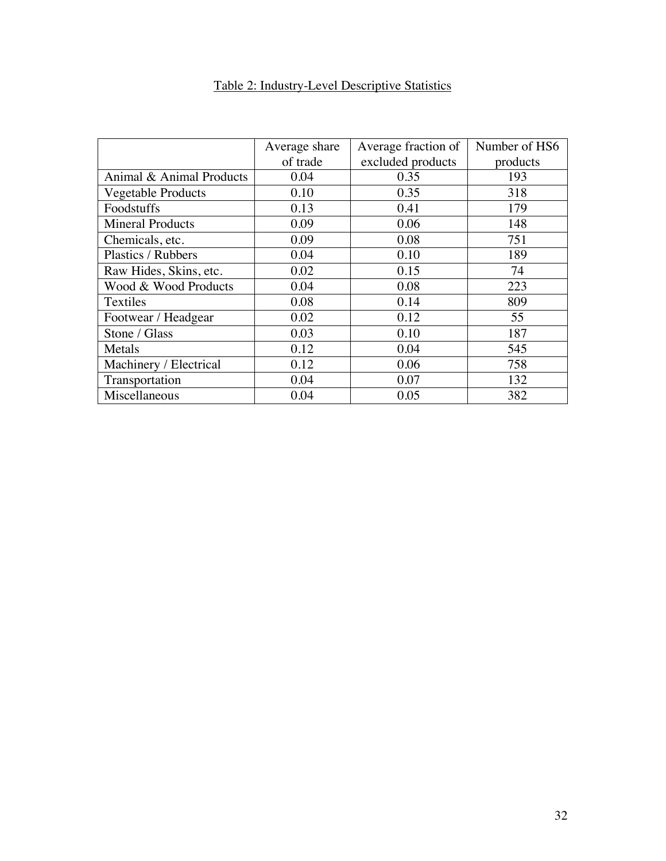|                           | Average share | Average fraction of | Number of HS6 |
|---------------------------|---------------|---------------------|---------------|
|                           | of trade      | excluded products   | products      |
| Animal & Animal Products  | 0.04          | 0.35                | 193           |
| <b>Vegetable Products</b> | 0.10          | 0.35                | 318           |
| Foodstuffs                | 0.13          | 0.41                | 179           |
| <b>Mineral Products</b>   | 0.09          | 0.06                | 148           |
| Chemicals, etc.           | 0.09          | 0.08                | 751           |
| Plastics / Rubbers        | 0.04          | 0.10                | 189           |
| Raw Hides, Skins, etc.    | 0.02          | 0.15                | 74            |
| Wood & Wood Products      | 0.04          | 0.08                | 223           |
| Textiles                  | 0.08          | 0.14                | 809           |
| Footwear / Headgear       | 0.02          | 0.12                | 55            |
| Stone / Glass             | 0.03          | 0.10                | 187           |
| Metals                    | 0.12          | 0.04                | 545           |
| Machinery / Electrical    | 0.12          | 0.06                | 758           |
| Transportation            | 0.04          | 0.07                | 132           |
| Miscellaneous             | 0.04          | 0.05                | 382           |

# Table 2: Industry-Level Descriptive Statistics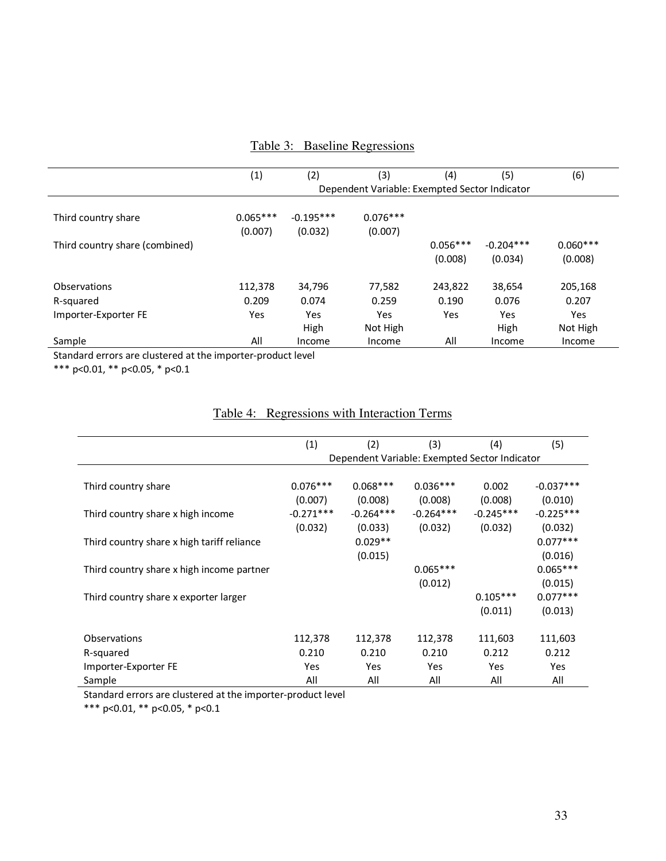|                                | (1)        | (2)                                           | (3)        | (4)        | (5)         | (6)        |  |  |
|--------------------------------|------------|-----------------------------------------------|------------|------------|-------------|------------|--|--|
|                                |            | Dependent Variable: Exempted Sector Indicator |            |            |             |            |  |  |
|                                |            |                                               |            |            |             |            |  |  |
| Third country share            | $0.065***$ | $-0.195***$                                   | $0.076***$ |            |             |            |  |  |
|                                | (0.007)    | (0.032)                                       | (0.007)    |            |             |            |  |  |
| Third country share (combined) |            |                                               |            | $0.056***$ | $-0.204***$ | $0.060***$ |  |  |
|                                |            |                                               |            | (0.008)    | (0.034)     | (0.008)    |  |  |
|                                |            |                                               |            |            |             |            |  |  |
| Observations                   | 112,378    | 34,796                                        | 77,582     | 243,822    | 38,654      | 205,168    |  |  |
| R-squared                      | 0.209      | 0.074                                         | 0.259      | 0.190      | 0.076       | 0.207      |  |  |
| Importer-Exporter FE           | Yes        | Yes                                           | Yes        | Yes        | Yes         | Yes        |  |  |
|                                |            | High                                          | Not High   |            | High        | Not High   |  |  |
| Sample                         | All        | Income                                        | Income     | All        | Income      | Income     |  |  |

# Table 3: Baseline Regressions

Standard errors are clustered at the importer-product level

\*\*\* p<0.01, \*\* p<0.05, \* p<0.1

|                                            | (1)                                           | (2)         | (3)         | (4)         | (5)         |  |  |  |
|--------------------------------------------|-----------------------------------------------|-------------|-------------|-------------|-------------|--|--|--|
|                                            | Dependent Variable: Exempted Sector Indicator |             |             |             |             |  |  |  |
|                                            |                                               |             |             |             |             |  |  |  |
| Third country share                        | $0.076***$                                    | $0.068***$  | $0.036***$  | 0.002       | $-0.037***$ |  |  |  |
|                                            | (0.007)                                       | (0.008)     | (0.008)     | (0.008)     | (0.010)     |  |  |  |
| Third country share x high income          | $-0.271***$                                   | $-0.264***$ | $-0.264***$ | $-0.245***$ | $-0.225***$ |  |  |  |
|                                            | (0.032)                                       | (0.033)     | (0.032)     | (0.032)     | (0.032)     |  |  |  |
| Third country share x high tariff reliance |                                               | $0.029**$   |             |             | $0.077***$  |  |  |  |
|                                            |                                               | (0.015)     |             |             | (0.016)     |  |  |  |
| Third country share x high income partner  |                                               |             | $0.065***$  |             | $0.065***$  |  |  |  |
|                                            |                                               |             | (0.012)     |             | (0.015)     |  |  |  |
| Third country share x exporter larger      |                                               |             |             | $0.105***$  | $0.077***$  |  |  |  |
|                                            |                                               |             |             | (0.011)     | (0.013)     |  |  |  |
|                                            |                                               |             |             |             |             |  |  |  |
| Observations                               | 112,378                                       | 112,378     | 112,378     | 111,603     | 111,603     |  |  |  |
| R-squared                                  | 0.210                                         | 0.210       | 0.210       | 0.212       | 0.212       |  |  |  |
| Importer-Exporter FE                       | Yes                                           | Yes         | Yes         | Yes         | Yes         |  |  |  |
| Sample                                     | All                                           | All         | All         | All         | All         |  |  |  |

## Table 4: Regressions with Interaction Terms

Standard errors are clustered at the importer-product level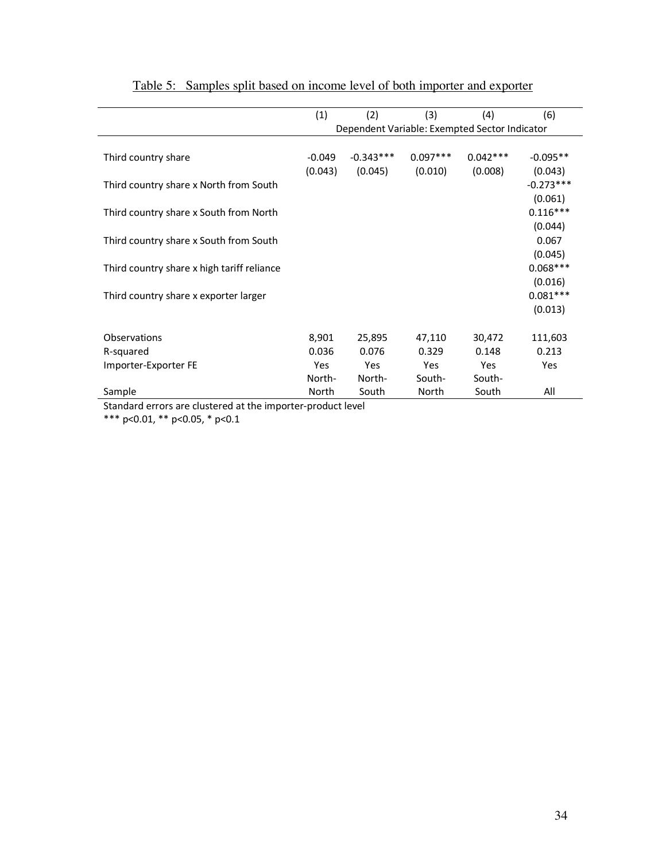|                                            | (1)                                           | (2)         | (3)        | (4)        | (6)         |  |  |
|--------------------------------------------|-----------------------------------------------|-------------|------------|------------|-------------|--|--|
|                                            | Dependent Variable: Exempted Sector Indicator |             |            |            |             |  |  |
|                                            |                                               |             |            |            |             |  |  |
| Third country share                        | $-0.049$                                      | $-0.343***$ | $0.097***$ | $0.042***$ | $-0.095**$  |  |  |
|                                            | (0.043)                                       | (0.045)     | (0.010)    | (0.008)    | (0.043)     |  |  |
| Third country share x North from South     |                                               |             |            |            | $-0.273***$ |  |  |
|                                            |                                               |             |            |            | (0.061)     |  |  |
| Third country share x South from North     |                                               |             |            |            | $0.116***$  |  |  |
|                                            |                                               |             |            |            | (0.044)     |  |  |
| Third country share x South from South     |                                               |             |            |            | 0.067       |  |  |
|                                            |                                               |             |            |            | (0.045)     |  |  |
| Third country share x high tariff reliance |                                               |             |            |            | $0.068***$  |  |  |
|                                            |                                               |             |            |            | (0.016)     |  |  |
| Third country share x exporter larger      |                                               |             |            |            | $0.081***$  |  |  |
|                                            |                                               |             |            |            | (0.013)     |  |  |
|                                            |                                               |             |            |            |             |  |  |
| Observations                               | 8,901                                         | 25,895      | 47,110     | 30,472     | 111,603     |  |  |
| R-squared                                  | 0.036                                         | 0.076       | 0.329      | 0.148      | 0.213       |  |  |
| Importer-Exporter FE                       | <b>Yes</b>                                    | Yes         | Yes        | Yes        | Yes         |  |  |
|                                            | North-                                        | North-      | South-     | South-     |             |  |  |
| Sample                                     | North                                         | South       | North      | South      | All         |  |  |

# Table 5: Samples split based on income level of both importer and exporter

Standard errors are clustered at the importer-product level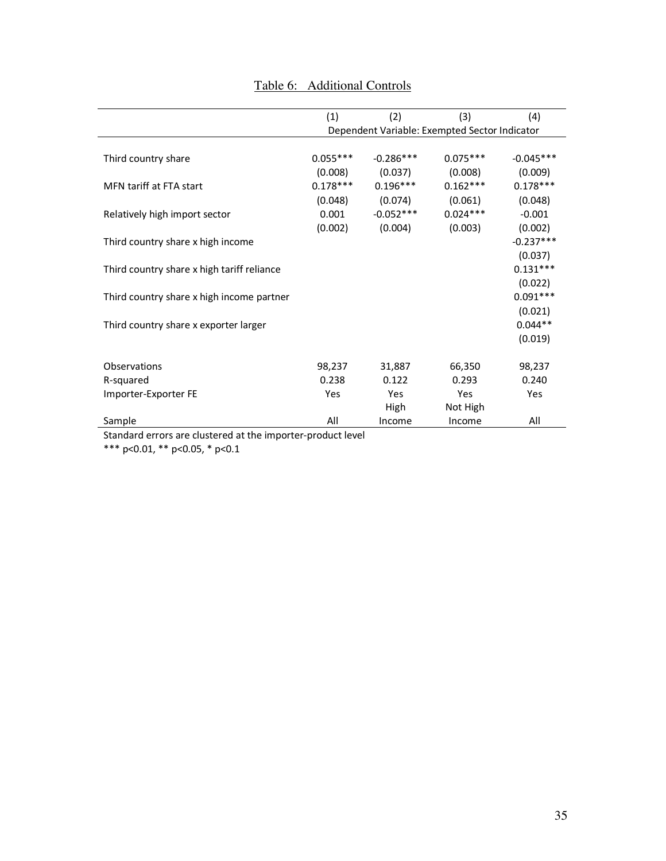|                                            | (1)                                           | (2)         | (3)        | (4)         |  |  |  |
|--------------------------------------------|-----------------------------------------------|-------------|------------|-------------|--|--|--|
|                                            | Dependent Variable: Exempted Sector Indicator |             |            |             |  |  |  |
| Third country share                        | $0.055***$                                    | $-0.286***$ | $0.075***$ | $-0.045***$ |  |  |  |
|                                            | (0.008)                                       | (0.037)     | (0.008)    | (0.009)     |  |  |  |
| MFN tariff at FTA start                    | $0.178***$                                    | $0.196***$  | $0.162***$ | $0.178***$  |  |  |  |
|                                            | (0.048)                                       | (0.074)     | (0.061)    | (0.048)     |  |  |  |
| Relatively high import sector              | 0.001                                         | $-0.052***$ | $0.024***$ | $-0.001$    |  |  |  |
|                                            | (0.002)                                       | (0.004)     | (0.003)    | (0.002)     |  |  |  |
| Third country share x high income          |                                               |             |            | $-0.237***$ |  |  |  |
|                                            |                                               |             |            | (0.037)     |  |  |  |
| Third country share x high tariff reliance |                                               |             |            | $0.131***$  |  |  |  |
|                                            |                                               |             |            | (0.022)     |  |  |  |
| Third country share x high income partner  |                                               |             |            | $0.091***$  |  |  |  |
|                                            |                                               |             |            | (0.021)     |  |  |  |
| Third country share x exporter larger      |                                               |             |            | $0.044**$   |  |  |  |
|                                            |                                               |             |            | (0.019)     |  |  |  |
| Observations                               | 98,237                                        | 31,887      | 66,350     | 98,237      |  |  |  |
| R-squared                                  | 0.238                                         | 0.122       | 0.293      | 0.240       |  |  |  |
| Importer-Exporter FE                       | Yes                                           | Yes         | Yes        | Yes         |  |  |  |
|                                            |                                               | High        | Not High   |             |  |  |  |
| Sample                                     | All                                           | Income      | Income     | All         |  |  |  |

## Table 6: Additional Controls

Standard errors are clustered at the importer-product level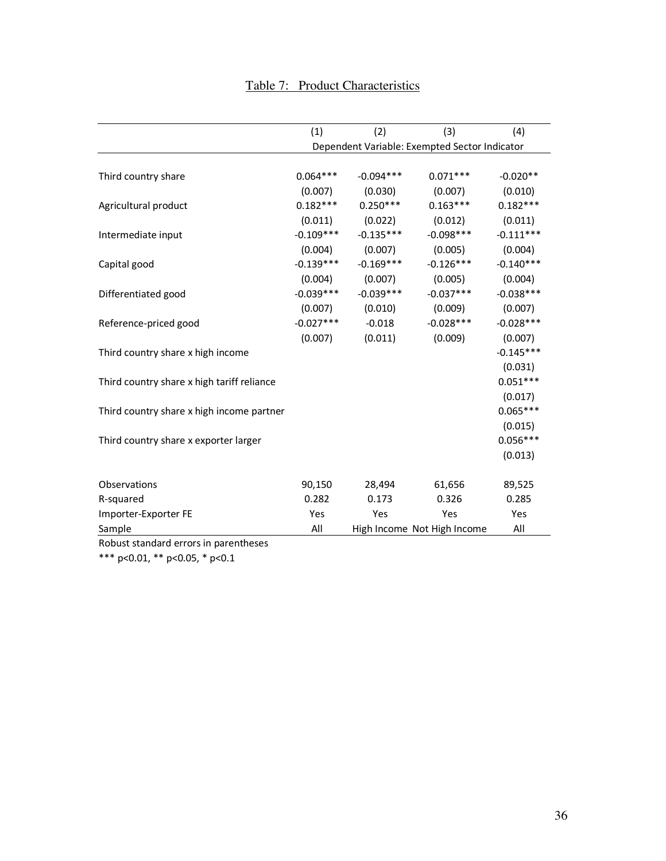|  |  | Table 7: Product Characteristics |
|--|--|----------------------------------|
|--|--|----------------------------------|

|                                            | (1)         | (2)         | (3)                                           | (4)         |
|--------------------------------------------|-------------|-------------|-----------------------------------------------|-------------|
|                                            |             |             | Dependent Variable: Exempted Sector Indicator |             |
|                                            |             |             |                                               |             |
| Third country share                        | $0.064***$  | $-0.094***$ | $0.071***$                                    | $-0.020**$  |
|                                            | (0.007)     | (0.030)     | (0.007)                                       | (0.010)     |
| Agricultural product                       | $0.182***$  | $0.250***$  | $0.163***$                                    | $0.182***$  |
|                                            | (0.011)     | (0.022)     | (0.012)                                       | (0.011)     |
| Intermediate input                         | $-0.109***$ | $-0.135***$ | $-0.098***$                                   | $-0.111***$ |
|                                            | (0.004)     | (0.007)     | (0.005)                                       | (0.004)     |
| Capital good                               | $-0.139***$ | $-0.169***$ | $-0.126***$                                   | $-0.140***$ |
|                                            | (0.004)     | (0.007)     | (0.005)                                       | (0.004)     |
| Differentiated good                        | $-0.039***$ | $-0.039***$ | $-0.037***$                                   | $-0.038***$ |
|                                            | (0.007)     | (0.010)     | (0.009)                                       | (0.007)     |
| Reference-priced good                      | $-0.027***$ | $-0.018$    | $-0.028***$                                   | $-0.028***$ |
|                                            | (0.007)     | (0.011)     | (0.009)                                       | (0.007)     |
| Third country share x high income          |             |             |                                               | $-0.145***$ |
|                                            |             |             |                                               | (0.031)     |
| Third country share x high tariff reliance |             |             |                                               | $0.051***$  |
|                                            |             |             |                                               | (0.017)     |
| Third country share x high income partner  |             |             |                                               | $0.065***$  |
|                                            |             |             |                                               | (0.015)     |
| Third country share x exporter larger      |             |             |                                               | $0.056***$  |
|                                            |             |             |                                               | (0.013)     |
| Observations                               | 90,150      | 28,494      | 61,656                                        | 89,525      |
| R-squared                                  | 0.282       | 0.173       | 0.326                                         | 0.285       |
| Importer-Exporter FE                       | Yes         | Yes         | Yes                                           | Yes         |
| Sample                                     | All         |             | High Income Not High Income                   | All         |

Robust standard errors in parentheses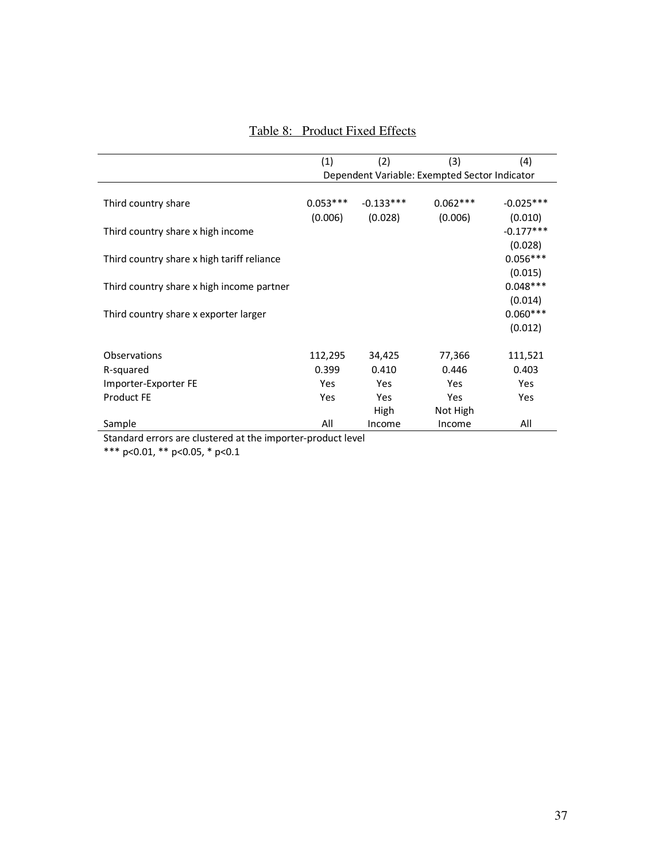|                                            | (1)                                           | (2)         | (3)        | (4)         |  |  |
|--------------------------------------------|-----------------------------------------------|-------------|------------|-------------|--|--|
|                                            | Dependent Variable: Exempted Sector Indicator |             |            |             |  |  |
|                                            |                                               |             |            |             |  |  |
| Third country share                        | $0.053***$                                    | $-0.133***$ | $0.062***$ | $-0.025***$ |  |  |
|                                            | (0.006)                                       | (0.028)     | (0.006)    | (0.010)     |  |  |
| Third country share x high income          |                                               |             |            | $-0.177***$ |  |  |
|                                            |                                               |             |            | (0.028)     |  |  |
| Third country share x high tariff reliance |                                               |             |            | $0.056***$  |  |  |
|                                            |                                               |             |            | (0.015)     |  |  |
| Third country share x high income partner  |                                               |             |            | $0.048***$  |  |  |
|                                            |                                               |             |            | (0.014)     |  |  |
| Third country share x exporter larger      |                                               |             |            | $0.060***$  |  |  |
|                                            |                                               |             |            | (0.012)     |  |  |
| Observations                               | 112,295                                       | 34,425      | 77,366     | 111,521     |  |  |
| R-squared                                  | 0.399                                         | 0.410       | 0.446      | 0.403       |  |  |
| Importer-Exporter FE                       | <b>Yes</b>                                    | Yes         | Yes        | <b>Yes</b>  |  |  |
| Product FE                                 | Yes                                           | Yes         | Yes        | <b>Yes</b>  |  |  |
|                                            |                                               | High        | Not High   |             |  |  |
| Sample                                     | All                                           | Income      | Income     | All         |  |  |

## Table 8: Product Fixed Effects

Standard errors are clustered at the importer-product level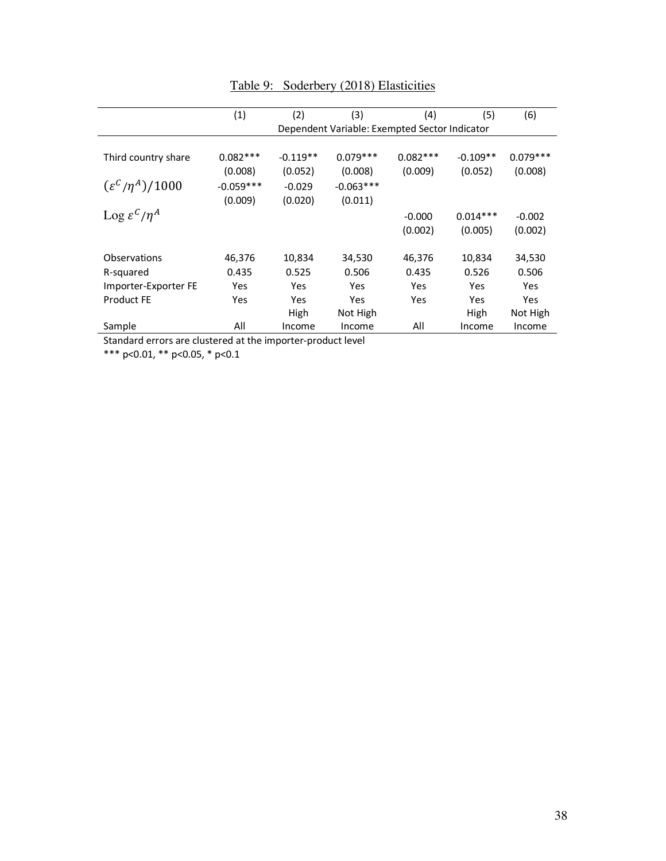|                               | (1)         | (2)                                           | (3)         | (4)        | (5)        | (6)        |  |  |
|-------------------------------|-------------|-----------------------------------------------|-------------|------------|------------|------------|--|--|
|                               |             | Dependent Variable: Exempted Sector Indicator |             |            |            |            |  |  |
|                               |             |                                               |             |            |            |            |  |  |
| Third country share           | $0.082***$  | $-0.119**$                                    | $0.079***$  | $0.082***$ | $-0.109**$ | $0.079***$ |  |  |
|                               | (0.008)     | (0.052)                                       | (0.008)     | (0.009)    | (0.052)    | (0.008)    |  |  |
| $(\varepsilon^C/\eta^A)/1000$ | $-0.059***$ | $-0.029$                                      | $-0.063***$ |            |            |            |  |  |
|                               | (0.009)     | (0.020)                                       | (0.011)     |            |            |            |  |  |
| Log $\varepsilon^C/\eta^A$    |             |                                               |             | $-0.000$   | $0.014***$ | $-0.002$   |  |  |
|                               |             |                                               |             | (0.002)    | (0.005)    | (0.002)    |  |  |
|                               |             |                                               |             |            |            |            |  |  |
| Observations                  | 46,376      | 10,834                                        | 34,530      | 46,376     | 10,834     | 34,530     |  |  |
| R-squared                     | 0.435       | 0.525                                         | 0.506       | 0.435      | 0.526      | 0.506      |  |  |
| Importer-Exporter FE          | Yes         | <b>Yes</b>                                    | Yes         | Yes        | Yes        | Yes        |  |  |
| <b>Product FE</b>             | Yes         | <b>Yes</b>                                    | Yes         | Yes        | Yes        | <b>Yes</b> |  |  |
|                               |             | High                                          | Not High    |            | High       | Not High   |  |  |
| Sample                        | All         | Income                                        | Income      | All        | Income     | Income     |  |  |

# Table 9: Soderbery (2018) Elasticities

Standard errors are clustered at the importer-product level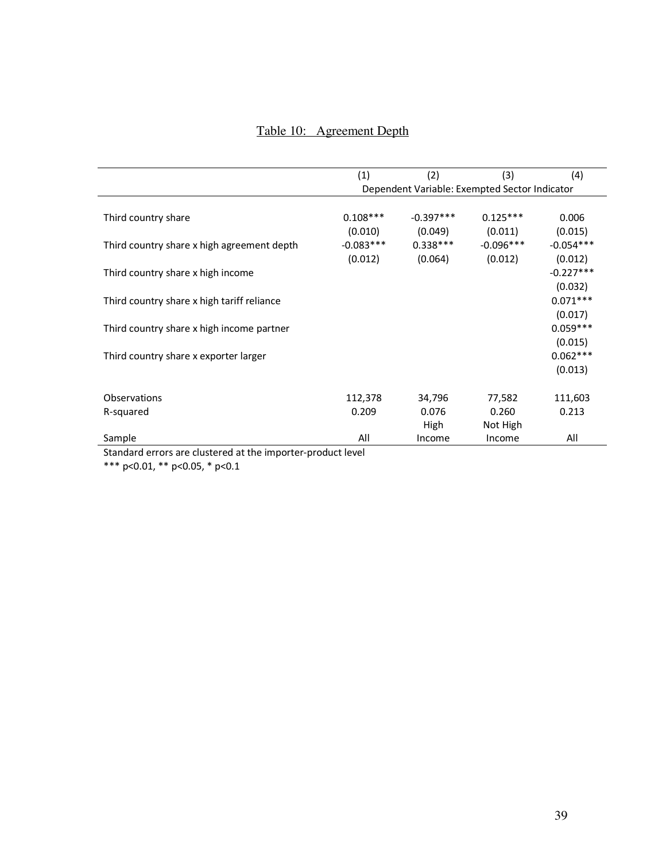# Table 10: Agreement Depth

|                                            | (1)                                           | (2)         | (3)         | (4)         |  |  |  |
|--------------------------------------------|-----------------------------------------------|-------------|-------------|-------------|--|--|--|
|                                            | Dependent Variable: Exempted Sector Indicator |             |             |             |  |  |  |
| Third country share                        | $0.108***$                                    | $-0.397***$ | $0.125***$  | 0.006       |  |  |  |
|                                            | (0.010)                                       | (0.049)     | (0.011)     | (0.015)     |  |  |  |
| Third country share x high agreement depth | $-0.083***$                                   | $0.338***$  | $-0.096***$ | $-0.054***$ |  |  |  |
|                                            | (0.012)                                       | (0.064)     | (0.012)     | (0.012)     |  |  |  |
| Third country share x high income          |                                               |             |             | $-0.227***$ |  |  |  |
|                                            |                                               |             |             | (0.032)     |  |  |  |
| Third country share x high tariff reliance |                                               |             |             | $0.071***$  |  |  |  |
|                                            |                                               |             |             | (0.017)     |  |  |  |
| Third country share x high income partner  |                                               |             |             | $0.059***$  |  |  |  |
|                                            |                                               |             |             | (0.015)     |  |  |  |
| Third country share x exporter larger      |                                               |             |             | $0.062***$  |  |  |  |
|                                            |                                               |             |             | (0.013)     |  |  |  |
| <b>Observations</b>                        | 112,378                                       | 34,796      | 77,582      | 111,603     |  |  |  |
| R-squared                                  | 0.209                                         | 0.076       | 0.260       | 0.213       |  |  |  |
|                                            |                                               | High        | Not High    |             |  |  |  |
| Sample                                     | All                                           | Income      | Income      | All         |  |  |  |

Standard errors are clustered at the importer-product level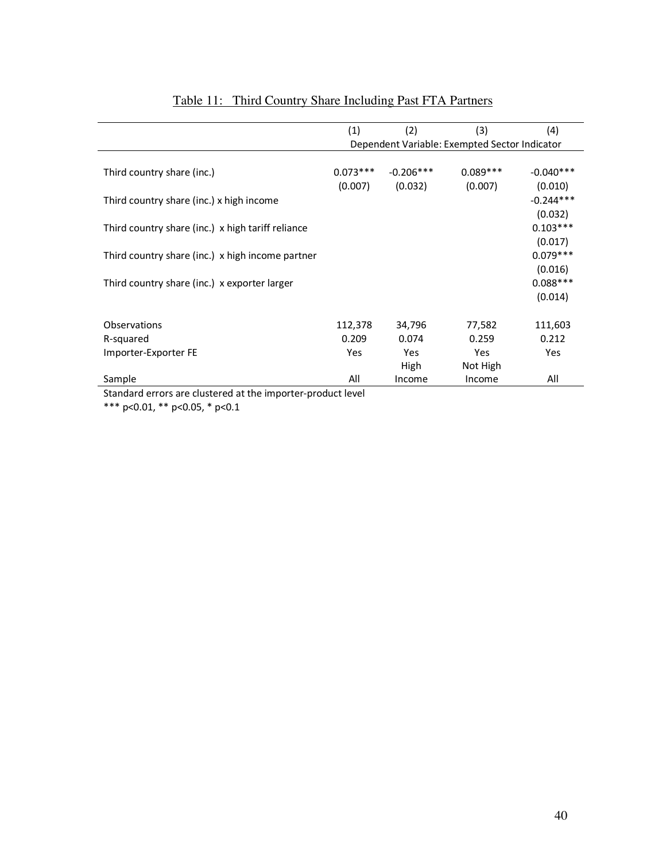|                                                   | (1)        | (2)                                           | (3)        | (4)         |  |  |  |
|---------------------------------------------------|------------|-----------------------------------------------|------------|-------------|--|--|--|
|                                                   |            | Dependent Variable: Exempted Sector Indicator |            |             |  |  |  |
|                                                   |            |                                               |            |             |  |  |  |
| Third country share (inc.)                        | $0.073***$ | $-0.206***$                                   | $0.089***$ | $-0.040***$ |  |  |  |
|                                                   | (0.007)    | (0.032)                                       | (0.007)    | (0.010)     |  |  |  |
| Third country share (inc.) x high income          |            |                                               |            | $-0.244***$ |  |  |  |
|                                                   |            |                                               |            | (0.032)     |  |  |  |
| Third country share (inc.) x high tariff reliance |            |                                               |            | $0.103***$  |  |  |  |
|                                                   |            |                                               |            | (0.017)     |  |  |  |
| Third country share (inc.) x high income partner  |            |                                               |            | $0.079***$  |  |  |  |
|                                                   |            |                                               |            | (0.016)     |  |  |  |
| Third country share (inc.) x exporter larger      |            |                                               |            | $0.088***$  |  |  |  |
|                                                   |            |                                               |            | (0.014)     |  |  |  |
|                                                   |            |                                               |            |             |  |  |  |
| Observations                                      | 112,378    | 34,796                                        | 77,582     | 111,603     |  |  |  |
| R-squared                                         | 0.209      | 0.074                                         | 0.259      | 0.212       |  |  |  |
| Importer-Exporter FE                              | Yes        | <b>Yes</b>                                    | Yes        | Yes         |  |  |  |
|                                                   |            | High                                          | Not High   |             |  |  |  |
| Sample                                            | All        | Income                                        | Income     | All         |  |  |  |

# Table 11: Third Country Share Including Past FTA Partners

Standard errors are clustered at the importer-product level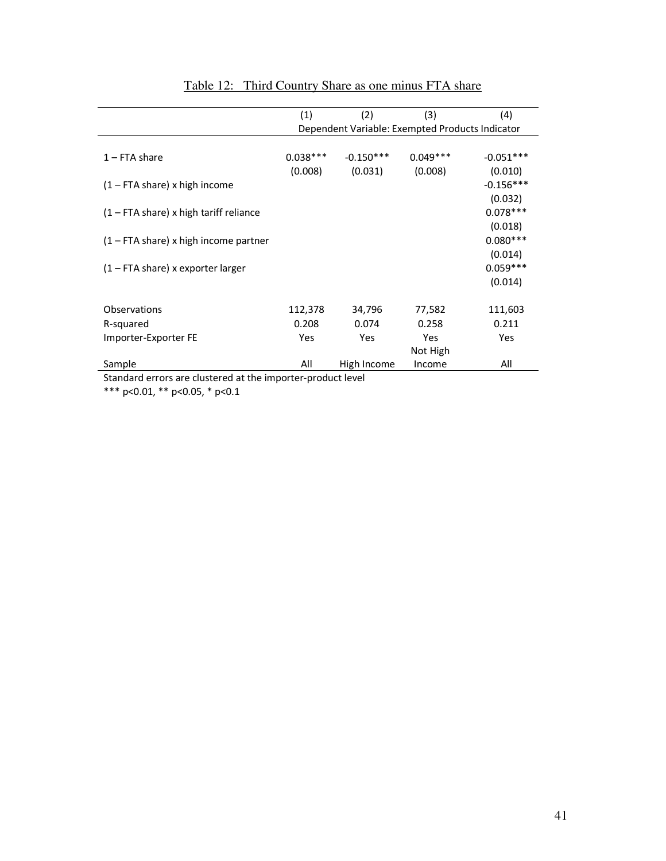|                                          | (1)                                             | (2)         | (3)        | (4)         |
|------------------------------------------|-------------------------------------------------|-------------|------------|-------------|
|                                          | Dependent Variable: Exempted Products Indicator |             |            |             |
|                                          |                                                 |             |            |             |
| $1 - FTA share$                          | $0.038***$                                      | $-0.150***$ | $0.049***$ | $-0.051***$ |
|                                          | (0.008)                                         | (0.031)     | (0.008)    | (0.010)     |
| $(1 - FTA share)$ x high income          |                                                 |             |            | $-0.156***$ |
|                                          |                                                 |             |            | (0.032)     |
| $(1 - FTA share)$ x high tariff reliance |                                                 |             |            | $0.078***$  |
|                                          |                                                 |             |            | (0.018)     |
| $(1 - FTA share)$ x high income partner  |                                                 |             |            | $0.080***$  |
|                                          |                                                 |             |            | (0.014)     |
| $(1 - FTA share)$ x exporter larger      |                                                 |             |            | $0.059***$  |
|                                          |                                                 |             |            | (0.014)     |
| Observations                             | 112,378                                         | 34,796      | 77,582     | 111,603     |
| R-squared                                | 0.208                                           | 0.074       | 0.258      | 0.211       |
| Importer-Exporter FE                     | Yes                                             | Yes         | <b>Yes</b> | <b>Yes</b>  |
|                                          |                                                 |             | Not High   |             |
| Sample                                   | All                                             | High Income | Income     | All         |

# Table 12: Third Country Share as one minus FTA share

Standard errors are clustered at the importer-product level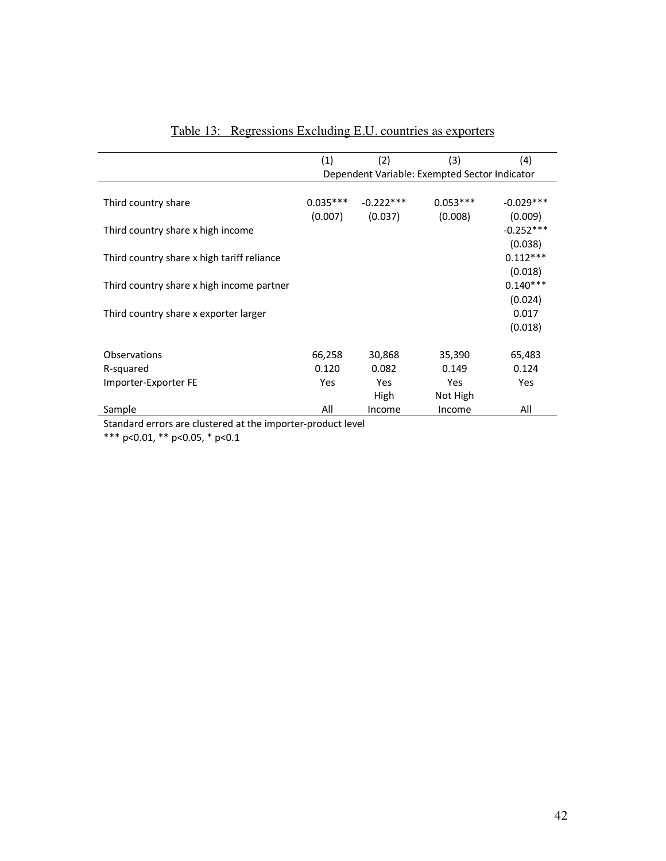|                                            | (1)                                           | (2)         | (3)        | (4)         |
|--------------------------------------------|-----------------------------------------------|-------------|------------|-------------|
|                                            | Dependent Variable: Exempted Sector Indicator |             |            |             |
|                                            |                                               |             |            |             |
| Third country share                        | $0.035***$                                    | $-0.222***$ | $0.053***$ | $-0.029***$ |
|                                            | (0.007)                                       | (0.037)     | (0.008)    | (0.009)     |
| Third country share x high income          |                                               |             |            | $-0.252***$ |
|                                            |                                               |             |            | (0.038)     |
| Third country share x high tariff reliance |                                               |             |            | $0.112***$  |
|                                            |                                               |             |            | (0.018)     |
| Third country share x high income partner  |                                               |             |            | $0.140***$  |
|                                            |                                               |             |            | (0.024)     |
| Third country share x exporter larger      |                                               |             |            | 0.017       |
|                                            |                                               |             |            | (0.018)     |
|                                            |                                               |             |            |             |
| Observations                               | 66,258                                        | 30,868      | 35,390     | 65,483      |
| R-squared                                  | 0.120                                         | 0.082       | 0.149      | 0.124       |
| Importer-Exporter FE                       | Yes                                           | Yes         | Yes        | Yes         |
|                                            |                                               | <b>High</b> | Not High   |             |
| Sample                                     | All                                           | Income      | Income     | All         |

## Table 13: Regressions Excluding E.U. countries as exporters

Standard errors are clustered at the importer-product level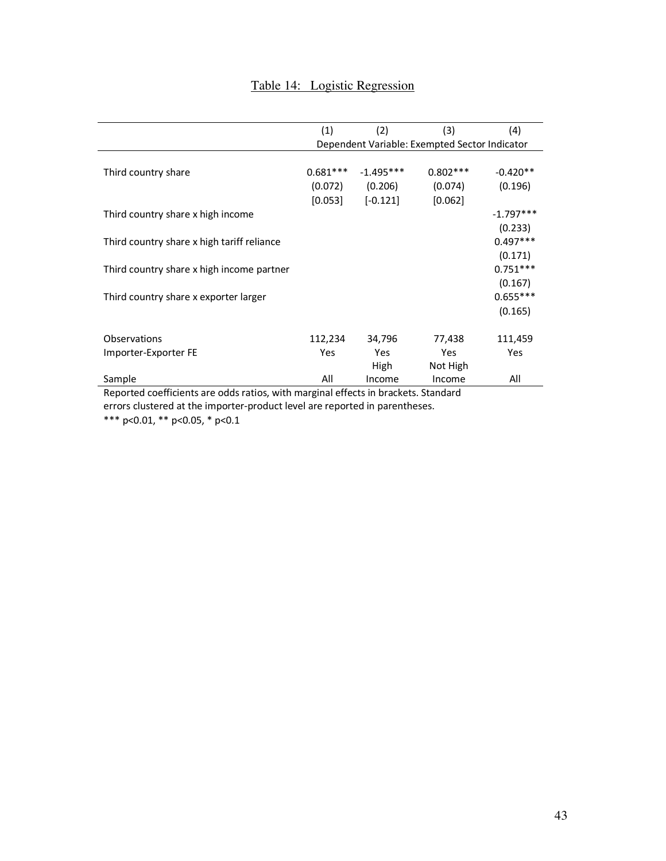| (1)                                           | (2)         | (3)        | (4)         |
|-----------------------------------------------|-------------|------------|-------------|
| Dependent Variable: Exempted Sector Indicator |             |            |             |
|                                               |             |            |             |
| $0.681***$                                    | $-1.495***$ | $0.802***$ | $-0.420**$  |
| (0.072)                                       | (0.206)     | (0.074)    | (0.196)     |
| [0.053]                                       | $[-0.121]$  | [0.062]    |             |
|                                               |             |            | $-1.797***$ |
|                                               |             |            | (0.233)     |
|                                               |             |            | $0.497***$  |
|                                               |             |            | (0.171)     |
|                                               |             |            | $0.751***$  |
|                                               |             |            | (0.167)     |
|                                               |             |            | $0.655***$  |
|                                               |             |            | (0.165)     |
|                                               |             |            |             |
| 112,234                                       | 34,796      | 77,438     | 111,459     |
| Yes                                           | Yes         | Yes        | Yes         |
|                                               | High        | Not High   |             |
| All                                           | Income      | Income     | All         |
|                                               |             |            |             |

## Table 14: Logistic Regression

Reported coefficients are odds ratios, with marginal effects in brackets. Standard errors clustered at the importer-product level are reported in parentheses.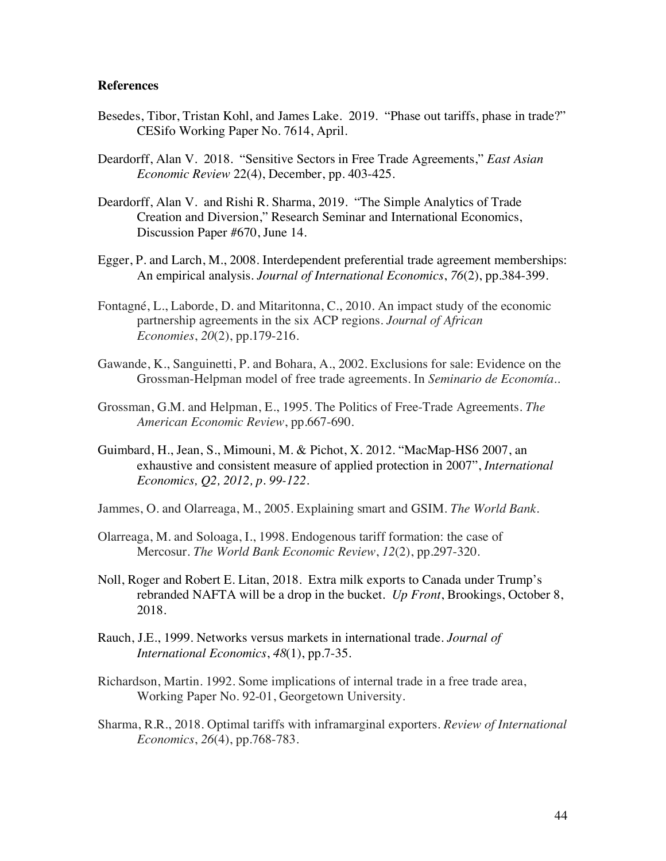#### **References**

- Besedes, Tibor, Tristan Kohl, and James Lake. 2019. "Phase out tariffs, phase in trade?" CESifo Working Paper No. 7614, April.
- Deardorff, Alan V. 2018. "Sensitive Sectors in Free Trade Agreements," *East Asian Economic Review* 22(4), December, pp. 403-425.
- Deardorff, Alan V. and Rishi R. Sharma, 2019. "The Simple Analytics of Trade Creation and Diversion," Research Seminar and International Economics, Discussion Paper #670, June 14.
- Egger, P. and Larch, M., 2008. Interdependent preferential trade agreement memberships: An empirical analysis. *Journal of International Economics*, *76*(2), pp.384-399.
- Fontagné, L., Laborde, D. and Mitaritonna, C., 2010. An impact study of the economic partnership agreements in the six ACP regions. *Journal of African Economies*, *20*(2), pp.179-216.
- Gawande, K., Sanguinetti, P. and Bohara, A., 2002. Exclusions for sale: Evidence on the Grossman-Helpman model of free trade agreements. In *Seminario de Economía.*.
- Grossman, G.M. and Helpman, E., 1995. The Politics of Free-Trade Agreements. *The American Economic Review*, pp.667-690.
- Guimbard, H., Jean, S., Mimouni, M. & Pichot, X. 2012. "MacMap-HS6 2007, an exhaustive and consistent measure of applied protection in 2007", *International Economics, Q2, 2012, p. 99-122.*
- Jammes, O. and Olarreaga, M., 2005. Explaining smart and GSIM. *The World Bank*.
- Olarreaga, M. and Soloaga, I., 1998. Endogenous tariff formation: the case of Mercosur. *The World Bank Economic Review*, *12*(2), pp.297-320.
- Noll, Roger and Robert E. Litan, 2018. Extra milk exports to Canada under Trump's rebranded NAFTA will be a drop in the bucket. *Up Front*, Brookings, October 8, 2018.
- Rauch, J.E., 1999. Networks versus markets in international trade. *Journal of International Economics*, *48*(1), pp.7-35.
- Richardson, Martin. 1992. Some implications of internal trade in a free trade area, Working Paper No. 92-01, Georgetown University.
- Sharma, R.R., 2018. Optimal tariffs with inframarginal exporters. *Review of International Economics*, *26*(4), pp.768-783.